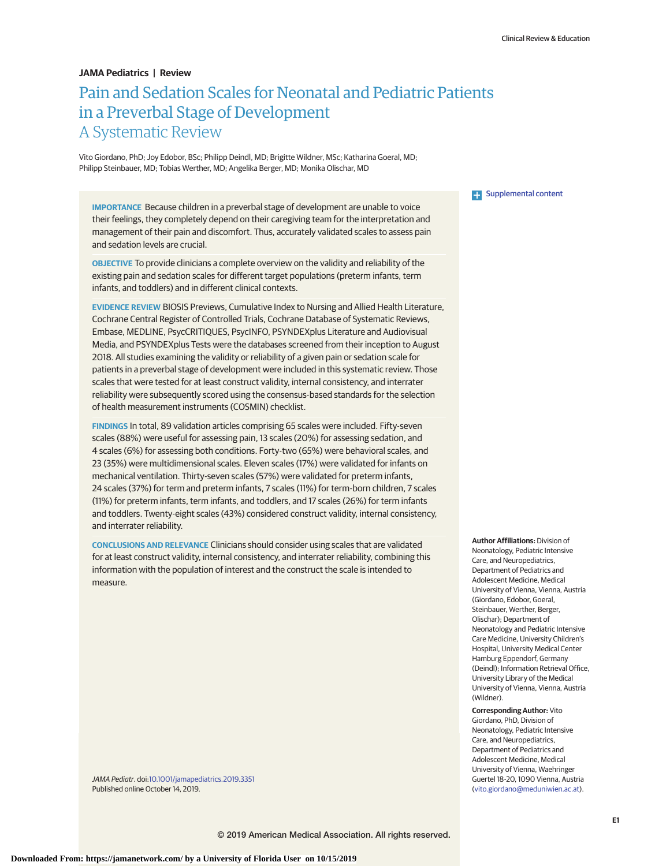## **JAMA Pediatrics | Review**

# Pain and Sedation Scales for Neonatal and Pediatric Patients in a Preverbal Stage of Development A Systematic Review

Vito Giordano, PhD; Joy Edobor, BSc; Philipp Deindl, MD; Brigitte Wildner, MSc; Katharina Goeral, MD; Philipp Steinbauer, MD; Tobias Werther, MD; Angelika Berger, MD; Monika Olischar, MD

**IMPORTANCE** Because children in a preverbal stage of development are unable to voice their feelings, they completely depend on their caregiving team for the interpretation and management of their pain and discomfort. Thus, accurately validated scales to assess pain and sedation levels are crucial.

**OBJECTIVE** To provide clinicians a complete overview on the validity and reliability of the existing pain and sedation scales for different target populations (preterm infants, term infants, and toddlers) and in different clinical contexts.

**EVIDENCE REVIEW** BIOSIS Previews, Cumulative Index to Nursing and Allied Health Literature, Cochrane Central Register of Controlled Trials, Cochrane Database of Systematic Reviews, Embase, MEDLINE, PsycCRITIQUES, PsycINFO, PSYNDEXplus Literature and Audiovisual Media, and PSYNDEXplus Tests were the databases screened from their inception to August 2018. All studies examining the validity or reliability of a given pain or sedation scale for patients in a preverbal stage of development were included in this systematic review. Those scales that were tested for at least construct validity, internal consistency, and interrater reliability were subsequently scored using the consensus-based standards for the selection of health measurement instruments (COSMIN) checklist.

**FINDINGS** In total, 89 validation articles comprising 65 scales were included. Fifty-seven scales (88%) were useful for assessing pain, 13 scales (20%) for assessing sedation, and 4 scales (6%) for assessing both conditions. Forty-two (65%) were behavioral scales, and 23 (35%) were multidimensional scales. Eleven scales (17%) were validated for infants on mechanical ventilation. Thirty-seven scales (57%) were validated for preterm infants, 24 scales (37%) for term and preterm infants, 7 scales (11%) for term-born children, 7 scales (11%) for preterm infants, term infants, and toddlers, and 17 scales (26%) for term infants and toddlers. Twenty-eight scales (43%) considered construct validity, internal consistency, and interrater reliability.

**CONCLUSIONS AND RELEVANCE** Clinicians should consider using scales that are validated for at least construct validity, internal consistency, and interrater reliability, combining this information with the population of interest and the construct the scale is intended to measure.

JAMA Pediatr. doi[:10.1001/jamapediatrics.2019.3351](https://jamanetwork.com/journals/jama/fullarticle/10.1001/jamapediatrics.2019.3351?utm_campaign=articlePDF%26utm_medium=articlePDFlink%26utm_source=articlePDF%26utm_content=jamapediatrics.2019.3351) Published online October 14, 2019.

**Examplemental content** 

**Author Affiliations:** Division of Neonatology, Pediatric Intensive Care, and Neuropediatrics, Department of Pediatrics and Adolescent Medicine, Medical University of Vienna, Vienna, Austria (Giordano, Edobor, Goeral, Steinbauer, Werther, Berger, Olischar); Department of Neonatology and Pediatric Intensive Care Medicine, University Children's Hospital, University Medical Center Hamburg Eppendorf, Germany (Deindl); Information Retrieval Office, University Library of the Medical University of Vienna, Vienna, Austria (Wildner).

**Corresponding Author:** Vito

Giordano, PhD, Division of Neonatology, Pediatric Intensive Care, and Neuropediatrics, Department of Pediatrics and Adolescent Medicine, Medical University of Vienna, Waehringer Guertel 18-20, 1090 Vienna, Austria [\(vito.giordano@meduniwien.ac.at\)](mailto:vito.giordano@meduniwien.ac.at).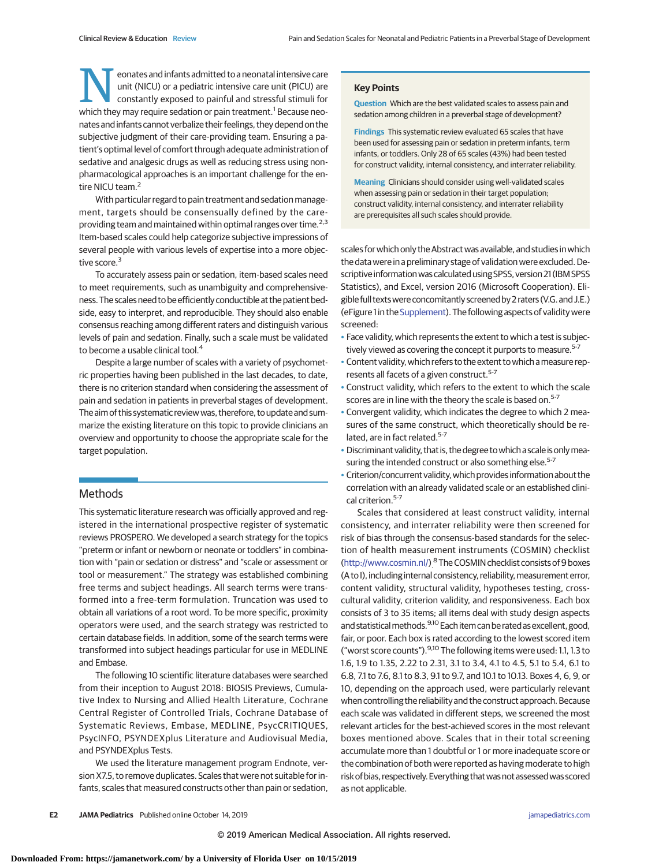**Neonates and infants admitted to a neonatal intensive care<br>unit (NICU) or a pediatric intensive care unit (PICU) are<br>constantly exposed to painful and stressful stimuli for<br>which they may require sedation or pain treatmen** unit (NICU) or a pediatric intensive care unit (PICU) are constantly exposed to painful and stressful stimuli for which they may require sedation or pain treatment.<sup>1</sup> Because neonates and infants cannot verbalize their feelings, they depend on the subjective judgment of their care-providing team. Ensuring a patient's optimal level of comfort through adequate administration of sedative and analgesic drugs as well as reducing stress using nonpharmacological approaches is an important challenge for the entire NICU team.<sup>2</sup>

With particular regard to pain treatment and sedation management, targets should be consensually defined by the careproviding team and maintained within optimal ranges over time. $2.3$ Item-based scales could help categorize subjective impressions of several people with various levels of expertise into a more objective score.<sup>3</sup>

To accurately assess pain or sedation, item-based scales need to meet requirements, such as unambiguity and comprehensiveness. The scales need to beefficiently conductible at the patient bedside, easy to interpret, and reproducible. They should also enable consensus reaching among different raters and distinguish various levels of pain and sedation. Finally, such a scale must be validated to become a usable clinical tool.<sup>4</sup>

Despite a large number of scales with a variety of psychometric properties having been published in the last decades, to date, there is no criterion standard when considering the assessment of pain and sedation in patients in preverbal stages of development. The aim of this systematic review was, therefore, to update and summarize the existing literature on this topic to provide clinicians an overview and opportunity to choose the appropriate scale for the target population.

# Methods

This systematic literature research was officially approved and registered in the international prospective register of systematic reviews PROSPERO. We developed a search strategy for the topics "preterm or infant or newborn or neonate or toddlers" in combination with "pain or sedation or distress" and "scale or assessment or tool or measurement." The strategy was established combining free terms and subject headings. All search terms were transformed into a free-term formulation. Truncation was used to obtain all variations of a root word. To be more specific, proximity operators were used, and the search strategy was restricted to certain database fields. In addition, some of the search terms were transformed into subject headings particular for use in MEDLINE and Embase.

The following 10 scientific literature databases were searched from their inception to August 2018: BIOSIS Previews, Cumulative Index to Nursing and Allied Health Literature, Cochrane Central Register of Controlled Trials, Cochrane Database of Systematic Reviews, Embase, MEDLINE, PsycCRITIQUES, PsycINFO, PSYNDEXplus Literature and Audiovisual Media, and PSYNDEXplus Tests.

We used the literature management program Endnote, version X7.5, to remove duplicates. Scales that were not suitable for infants, scales that measured constructs other than pain or sedation,

#### **Key Points**

**Question** Which are the best validated scales to assess pain and sedation among children in a preverbal stage of development?

**Findings** This systematic review evaluated 65 scales that have been used for assessing pain or sedation in preterm infants, term infants, or toddlers. Only 28 of 65 scales (43%) had been tested for construct validity, internal consistency, and interrater reliability.

**Meaning** Clinicians should consider using well-validated scales when assessing pain or sedation in their target population; construct validity, internal consistency, and interrater reliability are prerequisites all such scales should provide.

scales for which only the Abstract was available, and studies in which the data were in a preliminary stage of validation were excluded. Descriptive information was calculated using SPSS, version 21 (IBM SPSS Statistics), and Excel, version 2016 (Microsoft Cooperation). Eligible full textswere concomitantly screened by 2 raters (V.G.and J.E.) (eFigure 1 in the [Supplement\)](https://jamanetwork.com/journals/jama/fullarticle/10.1001/jamapediatrics.2019.3351?utm_campaign=articlePDF%26utm_medium=articlePDFlink%26utm_source=articlePDF%26utm_content=jamapediatrics.2019.3351). The following aspects of validity were screened:

- Face validity, which represents the extent to which a test is subjectively viewed as covering the concept it purports to measure.<sup>5-7</sup>
- Content validity, which refers to the extent to which a measure represents all facets of a given construct.<sup>5-7</sup>
- Construct validity, which refers to the extent to which the scale scores are in line with the theory the scale is based on.<sup>5-7</sup>
- Convergent validity, which indicates the degree to which 2 measures of the same construct, which theoretically should be related, are in fact related.<sup>5-7</sup>
- Discriminant validity, that is, the degree to which a scale is only measuring the intended construct or also something else.<sup>5-7</sup>
- Criterion/concurrent validity, which provides information about the correlation with an already validated scale or an established clinical criterion.<sup>5-7</sup>

Scales that considered at least construct validity, internal consistency, and interrater reliability were then screened for risk of bias through the consensus-based standards for the selection of health measurement instruments (COSMIN) checklist [\(http://www.cosmin.nl/\)](http://www.cosmin.nl/)<sup>8</sup> The COSMIN checklist consists of 9 boxes (A to I), including internal consistency, reliability, measurement error, content validity, structural validity, hypotheses testing, crosscultural validity, criterion validity, and responsiveness. Each box consists of 3 to 35 items; all items deal with study design aspects and statistical methods.<sup>9,10</sup> Each item can be rated as excellent, good, fair, or poor. Each box is rated according to the lowest scored item ("worst score counts"). <sup>9,10</sup> The following items were used: 1.1, 1.3 to 1.6, 1.9 to 1.35, 2.22 to 2.31, 3.1 to 3.4, 4.1 to 4.5, 5.1 to 5.4, 6.1 to 6.8, 7.1 to 7.6, 8.1 to 8.3, 9.1 to 9.7, and 10.1 to 10.13. Boxes 4, 6, 9, or 10, depending on the approach used, were particularly relevant when controlling the reliability and the construct approach. Because each scale was validated in different steps, we screened the most relevant articles for the best-achieved scores in the most relevant boxes mentioned above. Scales that in their total screening accumulate more than 1 doubtful or 1 or more inadequate score or the combination of both were reported as having moderate to high risk of bias, respectively. Everything that was not assessed was scored as not applicable.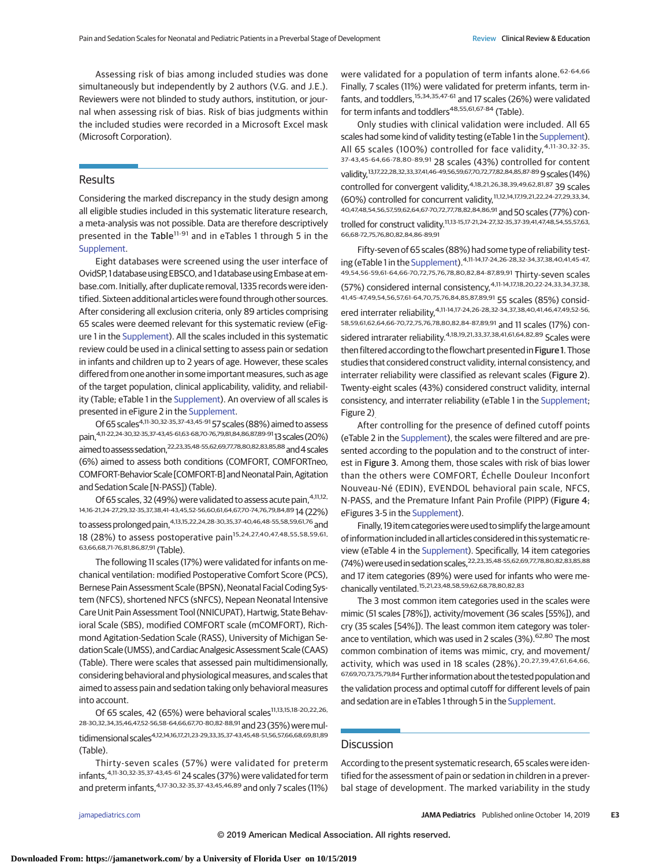Assessing risk of bias among included studies was done simultaneously but independently by 2 authors (V.G. and J.E.). Reviewers were not blinded to study authors, institution, or journal when assessing risk of bias. Risk of bias judgments within the included studies were recorded in a Microsoft Excel mask (Microsoft Corporation).

## **Results**

Considering the marked discrepancy in the study design among all eligible studies included in this systematic literature research, a meta-analysis was not possible. Data are therefore descriptively presented in the Table<sup>11-91</sup> and in eTables 1 through 5 in the [Supplement.](https://jamanetwork.com/journals/jama/fullarticle/10.1001/jamapediatrics.2019.3351?utm_campaign=articlePDF%26utm_medium=articlePDFlink%26utm_source=articlePDF%26utm_content=jamapediatrics.2019.3351)

Eight databases were screened using the user interface of OvidSP, 1 database using EBSCO, and 1 database using Embase atembase.com. Initially, after duplicate removal, 1335 records were identified. Sixteen additional articles were found through other sources. After considering all exclusion criteria, only 89 articles comprising 65 scales were deemed relevant for this systematic review (eFigure 1 in the [Supplement\)](https://jamanetwork.com/journals/jama/fullarticle/10.1001/jamapediatrics.2019.3351?utm_campaign=articlePDF%26utm_medium=articlePDFlink%26utm_source=articlePDF%26utm_content=jamapediatrics.2019.3351). All the scales included in this systematic review could be used in a clinical setting to assess pain or sedation in infants and children up to 2 years of age. However, these scales differed from one another in some important measures, such as age of the target population, clinical applicability, validity, and reliability (Table; eTable 1 in the [Supplement\)](https://jamanetwork.com/journals/jama/fullarticle/10.1001/jamapediatrics.2019.3351?utm_campaign=articlePDF%26utm_medium=articlePDFlink%26utm_source=articlePDF%26utm_content=jamapediatrics.2019.3351). An overview of all scales is presented in eFigure 2 in the [Supplement.](https://jamanetwork.com/journals/jama/fullarticle/10.1001/jamapediatrics.2019.3351?utm_campaign=articlePDF%26utm_medium=articlePDFlink%26utm_source=articlePDF%26utm_content=jamapediatrics.2019.3351)

Of 65 scales<sup>4,11-30,32-35,37-43,45-91</sup> 57 scales (88%) aimed to assess pain,4,11-22,24-30,32-35,37-43,45-61,63-68,70-76,79,81,84,86,87,89-9113scales (20%) aimed to assess sedation, 22,23,35,48-55,62,69,77,78,80,82,83,85,88 and 4 scales (6%) aimed to assess both conditions (COMFORT, COMFORTneo, COMFORT-Behavior Scale [COMFORT-B] and Neonatal Pain, Agitation and Sedation Scale [N-PASS]) (Table).

Of 65 scales, 32 (49%) were validated to assess acute pain, 4,11,12, 14,16-21,24-27,29,32-35,37,38,41-43,45,52-56,60,61,64,67,70-74,76,79,84,89 14 (22%) to assess prolonged pain,4,13,15,22,24,28-30,35,37-40,46,48-55,58,59,61,76 and 18 (28%) to assess postoperative pain<sup>15,24,27,40,47,48,55,58,59,61</sup>. 63,66,68,71-76,81,86,87,91 (Table).

The following 11 scales (17%) were validated for infants on mechanical ventilation: modified Postoperative Comfort Score (PCS), Bernese Pain Assessment Scale (BPSN), Neonatal Facial Coding System (NFCS), shortened NFCS (sNFCS), Nepean Neonatal Intensive Care Unit Pain Assessment Tool (NNICUPAT), Hartwig, State Behavioral Scale (SBS), modified COMFORT scale (mCOMFORT), Richmond Agitation-Sedation Scale (RASS), University of Michigan Sedation Scale (UMSS), and Cardiac Analgesic Assessment Scale (CAAS) (Table). There were scales that assessed pain multidimensionally, considering behavioral and physiological measures, and scales that aimed to assess pain and sedation taking only behavioral measures into account.

Of 65 scales, 42 (65%) were behavioral scales<sup>11,13,15,18-20,22,26,</sup> 28-30,32,34,35,46,47,52-56,58-64,66,67,70-80,82-88,91 and 23 (35%) were multidimensional scales4,12,14,16,17,21,23-29,33,35,37-43,45,48-51,56,57,66,68,69,81,89 (Table).

Thirty-seven scales (57%) were validated for preterm  $infants, <sup>4,11-30,32-35,37-43,45-61</sup>$  24 scales (37%) were validated for term and preterm infants, 4,17-30,32-35,37-43,45,46,89 and only 7 scales (11%)

were validated for a population of term infants alone.<sup>62-64,66</sup> Finally, 7 scales (11%) were validated for preterm infants, term infants, and toddlers, <sup>15,34,35,47-61</sup> and 17 scales (26%) were validated for term infants and toddlers<sup>48,55,61,67-84</sup> (Table).

Only studies with clinical validation were included. All 65 scales had some kind of validity testing (eTable 1 in the [Supplement\)](https://jamanetwork.com/journals/jama/fullarticle/10.1001/jamapediatrics.2019.3351?utm_campaign=articlePDF%26utm_medium=articlePDFlink%26utm_source=articlePDF%26utm_content=jamapediatrics.2019.3351). All 65 scales (100%) controlled for face validity,<sup>4,11-30,32-35,</sup> 37-43,45-64,66-78,80-89,91 28 scales (43%) controlled for content validity,<sup>13,17,22,28,32,33,37,41,46-49,56,59,67,70,72,77,82,84,85,87-89 9 scales (14%)</sup> controlled for convergent validity,<sup>4,18,21,26,38,39,49,62,81,87</sup> 39 scales (60%) controlled for concurrent validity,11,12,14,17,19,21,22,24-27,29,33,34, 40,47,48,54,56,57,59,62,64,67-70,72,77,78,82,84,86,91 and 50 scales (77%) controlled for construct validity.11,13-15,17-21,24-27,32-35,37-39,41,47,48,54,55,57,63, 66,68-72,75,76,80,82,84,86-89,91

Fifty-seven of 65 scales (88%) had some type of reliability testing (eTable 1 in the [Supplement\)](https://jamanetwork.com/journals/jama/fullarticle/10.1001/jamapediatrics.2019.3351?utm_campaign=articlePDF%26utm_medium=articlePDFlink%26utm_source=articlePDF%26utm_content=jamapediatrics.2019.3351).4,11-14,17-24,26-28,32-34,37,38,40,41,45-47, 49,54,56-59,61-64,66-70,72,75,76,78,80,82,84-87,89,91 Thirty-seven scales (57%) considered internal consistency,4,11-14,17,18,20,22-24,33,34,37,38, 41,45-47,49,54,56,57,61-64,70,75,76,84,85,87,89,91 55 scales (85%) considered interrater reliability,4,11-14,17-24,26-28,32-34,37,38,40,41,46,47,49,52-56, 58,59,61,62,64,66-70,72,75,76,78,80,82,84-87,89,91 and 11 scales (17%) considered intrarater reliability.<sup>4,18,19,21,33,37,38,41,61,64,82,89</sup> Scales were then filtered according to the flowchart presented in Figure 1. Those studies that considered construct validity, internal consistency, and interrater reliability were classified as relevant scales (Figure 2). Twenty-eight scales (43%) considered construct validity, internal consistency, and interrater reliability (eTable 1 in the [Supplement;](https://jamanetwork.com/journals/jama/fullarticle/10.1001/jamapediatrics.2019.3351?utm_campaign=articlePDF%26utm_medium=articlePDFlink%26utm_source=articlePDF%26utm_content=jamapediatrics.2019.3351) Figure 2)

After controlling for the presence of defined cutoff points (eTable 2 in the [Supplement\)](https://jamanetwork.com/journals/jama/fullarticle/10.1001/jamapediatrics.2019.3351?utm_campaign=articlePDF%26utm_medium=articlePDFlink%26utm_source=articlePDF%26utm_content=jamapediatrics.2019.3351), the scales were filtered and are presented according to the population and to the construct of interest in Figure 3. Among them, those scales with risk of bias lower than the others were COMFORT, Échelle Douleur Inconfort Nouveau-Né (EDIN), EVENDOL behavioral pain scale, NFCS, N-PASS, and the Premature Infant Pain Profile (PIPP) (Figure 4; eFigures 3-5 in the [Supplement\)](https://jamanetwork.com/journals/jama/fullarticle/10.1001/jamapediatrics.2019.3351?utm_campaign=articlePDF%26utm_medium=articlePDFlink%26utm_source=articlePDF%26utm_content=jamapediatrics.2019.3351).

Finally, 19 item categories were used to simplify the large amount of information included in all articles considered in this systematic review (eTable 4 in the [Supplement\)](https://jamanetwork.com/journals/jama/fullarticle/10.1001/jamapediatrics.2019.3351?utm_campaign=articlePDF%26utm_medium=articlePDFlink%26utm_source=articlePDF%26utm_content=jamapediatrics.2019.3351). Specifically, 14 item categories (74%) were used in sedation scales,<sup>22,23,35,48-55,62,69,77,78,80,82,83,85,88</sup> and 17 item categories (89%) were used for infants who were mechanically ventilated.15,21,23,48,58,59,62,68,78,80,82,83

The 3 most common item categories used in the scales were mimic (51 scales [78%]), activity/movement (36 scales [55%]), and cry (35 scales [54%]). The least common item category was tolerance to ventilation, which was used in 2 scales (3%). <sup>62,80</sup> The most common combination of items was mimic, cry, and movement/ activity, which was used in 18 scales (28%).<sup>20,27,39,47,61,64,66,</sup> 67,69,70,73,75,79,84 Further informationabout the tested populationand the validation process and optimal cutoff for different levels of pain and sedation are in eTables 1 through 5 in the [Supplement.](https://jamanetwork.com/journals/jama/fullarticle/10.1001/jamapediatrics.2019.3351?utm_campaign=articlePDF%26utm_medium=articlePDFlink%26utm_source=articlePDF%26utm_content=jamapediatrics.2019.3351)

## **Discussion**

According to the present systematic research, 65 scales were identified for the assessment of pain or sedation in children in a preverbal stage of development. The marked variability in the study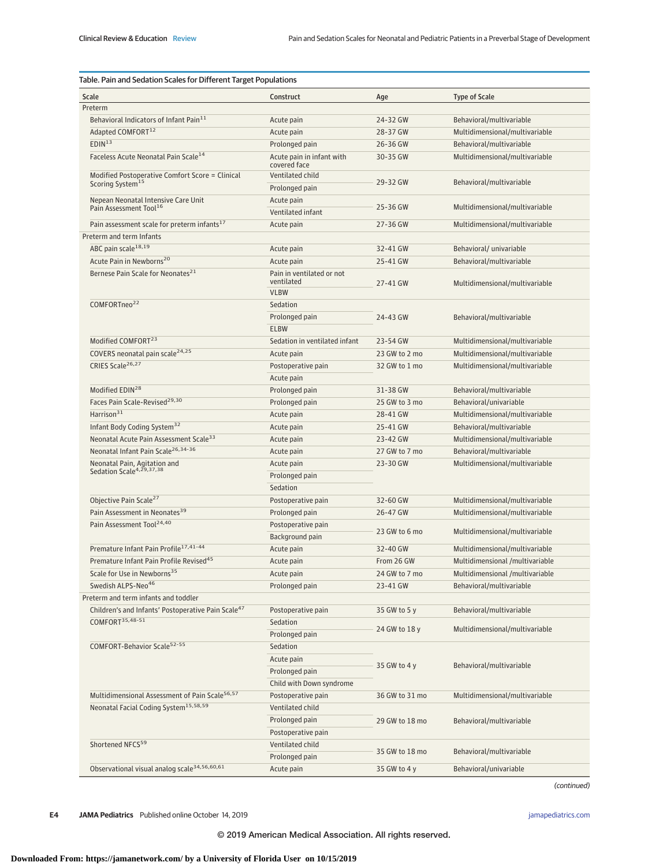| Table. Pain and Sedation Scales for Different Target Populations                                       |                                           |                             |                                                                   |  |  |
|--------------------------------------------------------------------------------------------------------|-------------------------------------------|-----------------------------|-------------------------------------------------------------------|--|--|
| Scale                                                                                                  | Construct                                 | Age                         | <b>Type of Scale</b>                                              |  |  |
| Preterm                                                                                                |                                           |                             |                                                                   |  |  |
| Behavioral Indicators of Infant Pain <sup>11</sup>                                                     | Acute pain                                | 24-32 GW                    | Behavioral/multivariable                                          |  |  |
| Adapted COMFORT <sup>12</sup>                                                                          | Acute pain                                | 28-37 GW                    | Multidimensional/multivariable                                    |  |  |
| EDIN <sup>13</sup>                                                                                     | Prolonged pain                            | 26-36 GW                    | Behavioral/multivariable                                          |  |  |
| Faceless Acute Neonatal Pain Scale <sup>14</sup>                                                       | Acute pain in infant with<br>covered face | 30-35 GW                    | Multidimensional/multivariable                                    |  |  |
| Modified Postoperative Comfort Score = Clinical<br>Scoring System <sup>15</sup>                        | Ventilated child<br>Prolonged pain        | 29-32 GW                    | Behavioral/multivariable                                          |  |  |
| Nepean Neonatal Intensive Care Unit<br>Pain Assessment Tool <sup>16</sup>                              | Acute pain<br>Ventilated infant           | 25-36 GW                    | Multidimensional/multivariable                                    |  |  |
| Pain assessment scale for preterm infants <sup>17</sup>                                                | Acute pain                                | 27-36 GW                    | Multidimensional/multivariable                                    |  |  |
| Preterm and term Infants                                                                               |                                           |                             |                                                                   |  |  |
| ABC pain scale <sup>18,19</sup>                                                                        | Acute pain                                | 32-41 GW                    | Behavioral/ univariable                                           |  |  |
| Acute Pain in Newborns <sup>20</sup>                                                                   | Acute pain                                | 25-41 GW                    | Behavioral/multivariable                                          |  |  |
| Bernese Pain Scale for Neonates <sup>21</sup>                                                          | Pain in ventilated or not                 |                             | Multidimensional/multivariable                                    |  |  |
|                                                                                                        | ventilated<br><b>VLBW</b>                 | 27-41 GW                    |                                                                   |  |  |
| COMFORTneo <sup>22</sup>                                                                               | Sedation                                  |                             |                                                                   |  |  |
|                                                                                                        | Prolonged pain                            | 24-43 GW                    | Behavioral/multivariable                                          |  |  |
|                                                                                                        | <b>ELBW</b>                               |                             |                                                                   |  |  |
| Modified COMFORT <sup>23</sup>                                                                         | Sedation in ventilated infant             | 23-54 GW                    | Multidimensional/multivariable                                    |  |  |
| COVERS neonatal pain scale <sup>24,25</sup>                                                            | Acute pain                                | 23 GW to 2 mo               | Multidimensional/multivariable                                    |  |  |
| CRIES Scale <sup>26,27</sup>                                                                           | Postoperative pain                        | 32 GW to 1 mo               | Multidimensional/multivariable                                    |  |  |
|                                                                                                        | Acute pain                                |                             |                                                                   |  |  |
| Modified EDIN <sup>28</sup>                                                                            | Prolonged pain                            | 31-38 GW                    | Behavioral/multivariable                                          |  |  |
| Faces Pain Scale-Revised <sup>29,30</sup>                                                              | Prolonged pain                            | 25 GW to 3 mo               | Behavioral/univariable                                            |  |  |
| Harrison <sup>31</sup>                                                                                 | Acute pain                                | 28-41 GW                    | Multidimensional/multivariable                                    |  |  |
| Infant Body Coding System <sup>32</sup>                                                                | Acute pain                                | 25-41 GW                    | Behavioral/multivariable                                          |  |  |
| Neonatal Acute Pain Assessment Scale <sup>33</sup>                                                     | Acute pain                                | 23-42 GW                    | Multidimensional/multivariable                                    |  |  |
| Neonatal Infant Pain Scale <sup>26,34-36</sup>                                                         | Acute pain                                | 27 GW to 7 mo               | Behavioral/multivariable                                          |  |  |
| Neonatal Pain, Agitation and<br>Sedation Scale <sup>4,29,37,38</sup>                                   | Acute pain                                | 23-30 GW                    | Multidimensional/multivariable                                    |  |  |
|                                                                                                        | Prolonged pain                            |                             |                                                                   |  |  |
|                                                                                                        | Sedation                                  |                             |                                                                   |  |  |
| Objective Pain Scale <sup>27</sup>                                                                     | Postoperative pain                        | 32-60 GW                    | Multidimensional/multivariable                                    |  |  |
| Pain Assessment in Neonates <sup>39</sup>                                                              | Prolonged pain                            | 26-47 GW                    | Multidimensional/multivariable                                    |  |  |
| Pain Assessment Tool <sup>24,40</sup>                                                                  |                                           |                             |                                                                   |  |  |
|                                                                                                        | Postoperative pain<br>Background pain     | 23 GW to 6 mo               | Multidimensional/multivariable                                    |  |  |
| Premature Infant Pain Profile <sup>17,41-44</sup>                                                      | Acute pain                                | 32-40 GW                    |                                                                   |  |  |
| Premature Infant Pain Profile Revised <sup>45</sup>                                                    |                                           |                             | Multidimensional/multivariable<br>Multidimensional /multivariable |  |  |
| Scale for Use in Newborns <sup>35</sup>                                                                | Acute pain<br>Acute pain                  | From 26 GW<br>24 GW to 7 mo | Multidimensional /multivariable                                   |  |  |
| Swedish ALPS-Neo <sup>46</sup>                                                                         |                                           | 23-41 GW                    | Behavioral/multivariable                                          |  |  |
|                                                                                                        | Prolonged pain                            |                             |                                                                   |  |  |
| Preterm and term infants and toddler<br>Children's and Infants' Postoperative Pain Scale <sup>47</sup> |                                           |                             |                                                                   |  |  |
|                                                                                                        | Postoperative pain                        | 35 GW to 5 y                | Behavioral/multivariable                                          |  |  |
| COMFORT <sup>35,48-51</sup><br>COMFORT-Behavior Scale <sup>52-55</sup>                                 | Sedation                                  | 24 GW to 18 y               | Multidimensional/multivariable                                    |  |  |
|                                                                                                        | Prolonged pain                            |                             |                                                                   |  |  |
|                                                                                                        | Sedation                                  |                             | Behavioral/multivariable                                          |  |  |
|                                                                                                        | Acute pain                                | 35 GW to 4 y                |                                                                   |  |  |
|                                                                                                        | Prolonged pain                            |                             |                                                                   |  |  |
|                                                                                                        | Child with Down syndrome                  |                             |                                                                   |  |  |
| Multidimensional Assessment of Pain Scale <sup>56,57</sup>                                             | Postoperative pain                        | 36 GW to 31 mo              | Multidimensional/multivariable                                    |  |  |
| Neonatal Facial Coding System <sup>15,58,59</sup>                                                      | Ventilated child                          |                             | Behavioral/multivariable                                          |  |  |
|                                                                                                        | Prolonged pain                            | 29 GW to 18 mo              |                                                                   |  |  |
|                                                                                                        | Postoperative pain                        |                             |                                                                   |  |  |
| Shortened NFCS <sup>59</sup>                                                                           | Ventilated child                          | 35 GW to 18 mo              | Behavioral/multivariable                                          |  |  |
|                                                                                                        | Prolonged pain                            |                             |                                                                   |  |  |
| Observational visual analog scale <sup>34,56,60,61</sup>                                               | Acute pain                                | 35 GW to 4 y                | Behavioral/univariable                                            |  |  |

(continued)

**E4 JAMA Pediatrics** Published online October 14, 2019 **(Reprinted)** image of the printed online of the printed online of the printed) is a set of the printed online of the printed online of the printed online of the pri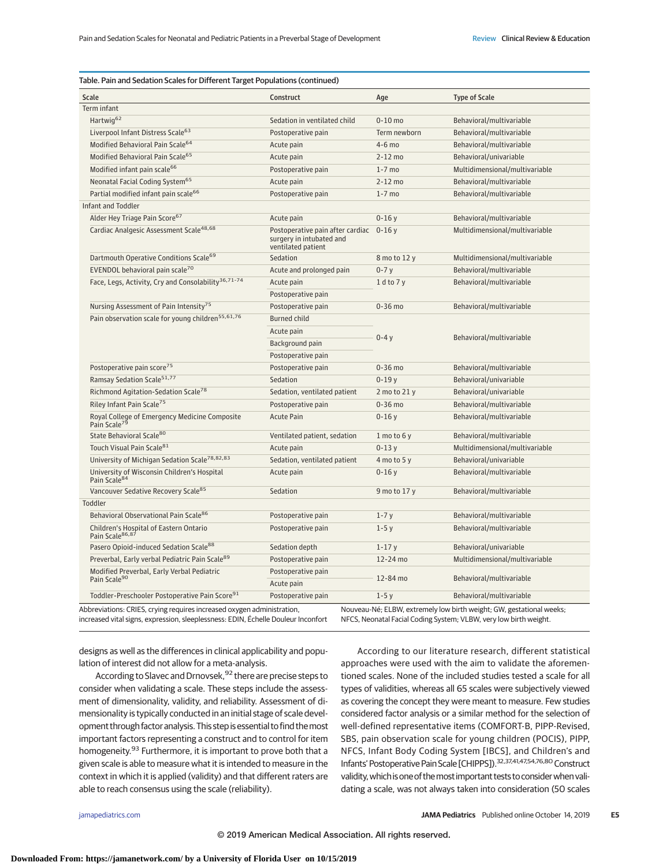| Scale<br>Construct<br>Age<br>Term infant<br>Hartwig <sup>62</sup><br>Sedation in ventilated child<br>$0-10$ mo<br>Liverpool Infant Distress Scale <sup>63</sup><br>Postoperative pain<br>Modified Behavioral Pain Scale <sup>64</sup><br>4-6 mo<br>Acute pain<br>Modified Behavioral Pain Scale <sup>65</sup><br>Acute pain<br>$2-12$ mo<br>Modified infant pain scale <sup>66</sup><br>Postoperative pain<br>$1-7$ mo<br>Neonatal Facial Coding System <sup>65</sup><br>Acute pain<br>$2-12$ mo<br>Partial modified infant pain scale <sup>66</sup><br>Postoperative pain<br>$1-7$ mo<br>Infant and Toddler<br>Alder Hey Triage Pain Score <sup>67</sup><br>Acute pain<br>$0 - 16y$<br>Cardiac Analgesic Assessment Scale <sup>48,68</sup><br>Postoperative pain after cardiac 0-16 y<br>surgery in intubated and<br>ventilated patient<br>Dartmouth Operative Conditions Scale <sup>69</sup><br>Sedation<br>EVENDOL behavioral pain scale <sup>70</sup><br>Acute and prolonged pain<br>$0-7y$<br>Face, Legs, Activity, Cry and Consolability <sup>36,71-74</sup><br>$1$ d to $7y$<br>Acute pain<br>Postoperative pain<br>Nursing Assessment of Pain Intensity <sup>75</sup><br>Postoperative pain<br>$0-36$ mo<br>Pain observation scale for young children <sup>55,61,76</sup><br><b>Burned child</b><br>Acute pain<br>$0-4y$<br>Background pain<br>Postoperative pain<br>Postoperative pain score <sup>75</sup><br>Postoperative pain<br>$0-36$ mo<br>Ramsay Sedation Scale <sup>51,77</sup><br>$0-19y$<br>Sedation<br>Richmond Agitation-Sedation Scale <sup>78</sup><br>Sedation, ventilated patient<br>Riley Infant Pain Scale <sup>75</sup><br>Postoperative pain<br>$0-36$ mo<br>Royal College of Emergency Medicine Composite<br>Pain Scale <sup>79</sup><br><b>Acute Pain</b><br>$0 - 16y$<br>State Behavioral Scale <sup>80</sup><br>Ventilated patient, sedation<br>$1$ mo to 6 y<br>Touch Visual Pain Scale <sup>81</sup><br>Acute pain<br>$0 - 13y$<br>University of Michigan Sedation Scale <sup>78,82,83</sup><br>Sedation, ventilated patient<br>4 mo to 5 y<br>University of Wisconsin Children's Hospital<br>Acute pain<br>$0 - 16y$<br>Pain Scale <sup>84</sup><br>Vancouver Sedative Recovery Scale <sup>85</sup><br>Sedation | <b>Type of Scale</b><br>Behavioral/multivariable<br>Term newborn<br>Behavioral/multivariable<br>Behavioral/multivariable<br>Behavioral/univariable<br>Multidimensional/multivariable<br>Behavioral/multivariable<br>Behavioral/multivariable<br>Behavioral/multivariable<br>Multidimensional/multivariable<br>8 mo to 12 y<br>Multidimensional/multivariable<br>Behavioral/multivariable<br>Behavioral/multivariable<br>Behavioral/multivariable<br>Behavioral/multivariable |
|-----------------------------------------------------------------------------------------------------------------------------------------------------------------------------------------------------------------------------------------------------------------------------------------------------------------------------------------------------------------------------------------------------------------------------------------------------------------------------------------------------------------------------------------------------------------------------------------------------------------------------------------------------------------------------------------------------------------------------------------------------------------------------------------------------------------------------------------------------------------------------------------------------------------------------------------------------------------------------------------------------------------------------------------------------------------------------------------------------------------------------------------------------------------------------------------------------------------------------------------------------------------------------------------------------------------------------------------------------------------------------------------------------------------------------------------------------------------------------------------------------------------------------------------------------------------------------------------------------------------------------------------------------------------------------------------------------------------------------------------------------------------------------------------------------------------------------------------------------------------------------------------------------------------------------------------------------------------------------------------------------------------------------------------------------------------------------------------------------------------------------------------------------------------------------------------------------------------------------------------------------|------------------------------------------------------------------------------------------------------------------------------------------------------------------------------------------------------------------------------------------------------------------------------------------------------------------------------------------------------------------------------------------------------------------------------------------------------------------------------|
|                                                                                                                                                                                                                                                                                                                                                                                                                                                                                                                                                                                                                                                                                                                                                                                                                                                                                                                                                                                                                                                                                                                                                                                                                                                                                                                                                                                                                                                                                                                                                                                                                                                                                                                                                                                                                                                                                                                                                                                                                                                                                                                                                                                                                                                     |                                                                                                                                                                                                                                                                                                                                                                                                                                                                              |
|                                                                                                                                                                                                                                                                                                                                                                                                                                                                                                                                                                                                                                                                                                                                                                                                                                                                                                                                                                                                                                                                                                                                                                                                                                                                                                                                                                                                                                                                                                                                                                                                                                                                                                                                                                                                                                                                                                                                                                                                                                                                                                                                                                                                                                                     |                                                                                                                                                                                                                                                                                                                                                                                                                                                                              |
|                                                                                                                                                                                                                                                                                                                                                                                                                                                                                                                                                                                                                                                                                                                                                                                                                                                                                                                                                                                                                                                                                                                                                                                                                                                                                                                                                                                                                                                                                                                                                                                                                                                                                                                                                                                                                                                                                                                                                                                                                                                                                                                                                                                                                                                     |                                                                                                                                                                                                                                                                                                                                                                                                                                                                              |
|                                                                                                                                                                                                                                                                                                                                                                                                                                                                                                                                                                                                                                                                                                                                                                                                                                                                                                                                                                                                                                                                                                                                                                                                                                                                                                                                                                                                                                                                                                                                                                                                                                                                                                                                                                                                                                                                                                                                                                                                                                                                                                                                                                                                                                                     |                                                                                                                                                                                                                                                                                                                                                                                                                                                                              |
|                                                                                                                                                                                                                                                                                                                                                                                                                                                                                                                                                                                                                                                                                                                                                                                                                                                                                                                                                                                                                                                                                                                                                                                                                                                                                                                                                                                                                                                                                                                                                                                                                                                                                                                                                                                                                                                                                                                                                                                                                                                                                                                                                                                                                                                     |                                                                                                                                                                                                                                                                                                                                                                                                                                                                              |
|                                                                                                                                                                                                                                                                                                                                                                                                                                                                                                                                                                                                                                                                                                                                                                                                                                                                                                                                                                                                                                                                                                                                                                                                                                                                                                                                                                                                                                                                                                                                                                                                                                                                                                                                                                                                                                                                                                                                                                                                                                                                                                                                                                                                                                                     |                                                                                                                                                                                                                                                                                                                                                                                                                                                                              |
|                                                                                                                                                                                                                                                                                                                                                                                                                                                                                                                                                                                                                                                                                                                                                                                                                                                                                                                                                                                                                                                                                                                                                                                                                                                                                                                                                                                                                                                                                                                                                                                                                                                                                                                                                                                                                                                                                                                                                                                                                                                                                                                                                                                                                                                     |                                                                                                                                                                                                                                                                                                                                                                                                                                                                              |
|                                                                                                                                                                                                                                                                                                                                                                                                                                                                                                                                                                                                                                                                                                                                                                                                                                                                                                                                                                                                                                                                                                                                                                                                                                                                                                                                                                                                                                                                                                                                                                                                                                                                                                                                                                                                                                                                                                                                                                                                                                                                                                                                                                                                                                                     |                                                                                                                                                                                                                                                                                                                                                                                                                                                                              |
|                                                                                                                                                                                                                                                                                                                                                                                                                                                                                                                                                                                                                                                                                                                                                                                                                                                                                                                                                                                                                                                                                                                                                                                                                                                                                                                                                                                                                                                                                                                                                                                                                                                                                                                                                                                                                                                                                                                                                                                                                                                                                                                                                                                                                                                     |                                                                                                                                                                                                                                                                                                                                                                                                                                                                              |
|                                                                                                                                                                                                                                                                                                                                                                                                                                                                                                                                                                                                                                                                                                                                                                                                                                                                                                                                                                                                                                                                                                                                                                                                                                                                                                                                                                                                                                                                                                                                                                                                                                                                                                                                                                                                                                                                                                                                                                                                                                                                                                                                                                                                                                                     |                                                                                                                                                                                                                                                                                                                                                                                                                                                                              |
|                                                                                                                                                                                                                                                                                                                                                                                                                                                                                                                                                                                                                                                                                                                                                                                                                                                                                                                                                                                                                                                                                                                                                                                                                                                                                                                                                                                                                                                                                                                                                                                                                                                                                                                                                                                                                                                                                                                                                                                                                                                                                                                                                                                                                                                     |                                                                                                                                                                                                                                                                                                                                                                                                                                                                              |
|                                                                                                                                                                                                                                                                                                                                                                                                                                                                                                                                                                                                                                                                                                                                                                                                                                                                                                                                                                                                                                                                                                                                                                                                                                                                                                                                                                                                                                                                                                                                                                                                                                                                                                                                                                                                                                                                                                                                                                                                                                                                                                                                                                                                                                                     |                                                                                                                                                                                                                                                                                                                                                                                                                                                                              |
|                                                                                                                                                                                                                                                                                                                                                                                                                                                                                                                                                                                                                                                                                                                                                                                                                                                                                                                                                                                                                                                                                                                                                                                                                                                                                                                                                                                                                                                                                                                                                                                                                                                                                                                                                                                                                                                                                                                                                                                                                                                                                                                                                                                                                                                     |                                                                                                                                                                                                                                                                                                                                                                                                                                                                              |
|                                                                                                                                                                                                                                                                                                                                                                                                                                                                                                                                                                                                                                                                                                                                                                                                                                                                                                                                                                                                                                                                                                                                                                                                                                                                                                                                                                                                                                                                                                                                                                                                                                                                                                                                                                                                                                                                                                                                                                                                                                                                                                                                                                                                                                                     |                                                                                                                                                                                                                                                                                                                                                                                                                                                                              |
|                                                                                                                                                                                                                                                                                                                                                                                                                                                                                                                                                                                                                                                                                                                                                                                                                                                                                                                                                                                                                                                                                                                                                                                                                                                                                                                                                                                                                                                                                                                                                                                                                                                                                                                                                                                                                                                                                                                                                                                                                                                                                                                                                                                                                                                     |                                                                                                                                                                                                                                                                                                                                                                                                                                                                              |
|                                                                                                                                                                                                                                                                                                                                                                                                                                                                                                                                                                                                                                                                                                                                                                                                                                                                                                                                                                                                                                                                                                                                                                                                                                                                                                                                                                                                                                                                                                                                                                                                                                                                                                                                                                                                                                                                                                                                                                                                                                                                                                                                                                                                                                                     |                                                                                                                                                                                                                                                                                                                                                                                                                                                                              |
|                                                                                                                                                                                                                                                                                                                                                                                                                                                                                                                                                                                                                                                                                                                                                                                                                                                                                                                                                                                                                                                                                                                                                                                                                                                                                                                                                                                                                                                                                                                                                                                                                                                                                                                                                                                                                                                                                                                                                                                                                                                                                                                                                                                                                                                     |                                                                                                                                                                                                                                                                                                                                                                                                                                                                              |
|                                                                                                                                                                                                                                                                                                                                                                                                                                                                                                                                                                                                                                                                                                                                                                                                                                                                                                                                                                                                                                                                                                                                                                                                                                                                                                                                                                                                                                                                                                                                                                                                                                                                                                                                                                                                                                                                                                                                                                                                                                                                                                                                                                                                                                                     |                                                                                                                                                                                                                                                                                                                                                                                                                                                                              |
|                                                                                                                                                                                                                                                                                                                                                                                                                                                                                                                                                                                                                                                                                                                                                                                                                                                                                                                                                                                                                                                                                                                                                                                                                                                                                                                                                                                                                                                                                                                                                                                                                                                                                                                                                                                                                                                                                                                                                                                                                                                                                                                                                                                                                                                     |                                                                                                                                                                                                                                                                                                                                                                                                                                                                              |
|                                                                                                                                                                                                                                                                                                                                                                                                                                                                                                                                                                                                                                                                                                                                                                                                                                                                                                                                                                                                                                                                                                                                                                                                                                                                                                                                                                                                                                                                                                                                                                                                                                                                                                                                                                                                                                                                                                                                                                                                                                                                                                                                                                                                                                                     |                                                                                                                                                                                                                                                                                                                                                                                                                                                                              |
|                                                                                                                                                                                                                                                                                                                                                                                                                                                                                                                                                                                                                                                                                                                                                                                                                                                                                                                                                                                                                                                                                                                                                                                                                                                                                                                                                                                                                                                                                                                                                                                                                                                                                                                                                                                                                                                                                                                                                                                                                                                                                                                                                                                                                                                     | Behavioral/multivariable                                                                                                                                                                                                                                                                                                                                                                                                                                                     |
|                                                                                                                                                                                                                                                                                                                                                                                                                                                                                                                                                                                                                                                                                                                                                                                                                                                                                                                                                                                                                                                                                                                                                                                                                                                                                                                                                                                                                                                                                                                                                                                                                                                                                                                                                                                                                                                                                                                                                                                                                                                                                                                                                                                                                                                     | Behavioral/univariable                                                                                                                                                                                                                                                                                                                                                                                                                                                       |
|                                                                                                                                                                                                                                                                                                                                                                                                                                                                                                                                                                                                                                                                                                                                                                                                                                                                                                                                                                                                                                                                                                                                                                                                                                                                                                                                                                                                                                                                                                                                                                                                                                                                                                                                                                                                                                                                                                                                                                                                                                                                                                                                                                                                                                                     | Behavioral/univariable<br>$2$ mo to $21y$                                                                                                                                                                                                                                                                                                                                                                                                                                    |
|                                                                                                                                                                                                                                                                                                                                                                                                                                                                                                                                                                                                                                                                                                                                                                                                                                                                                                                                                                                                                                                                                                                                                                                                                                                                                                                                                                                                                                                                                                                                                                                                                                                                                                                                                                                                                                                                                                                                                                                                                                                                                                                                                                                                                                                     | Behavioral/multivariable                                                                                                                                                                                                                                                                                                                                                                                                                                                     |
|                                                                                                                                                                                                                                                                                                                                                                                                                                                                                                                                                                                                                                                                                                                                                                                                                                                                                                                                                                                                                                                                                                                                                                                                                                                                                                                                                                                                                                                                                                                                                                                                                                                                                                                                                                                                                                                                                                                                                                                                                                                                                                                                                                                                                                                     | Behavioral/multivariable                                                                                                                                                                                                                                                                                                                                                                                                                                                     |
|                                                                                                                                                                                                                                                                                                                                                                                                                                                                                                                                                                                                                                                                                                                                                                                                                                                                                                                                                                                                                                                                                                                                                                                                                                                                                                                                                                                                                                                                                                                                                                                                                                                                                                                                                                                                                                                                                                                                                                                                                                                                                                                                                                                                                                                     | Behavioral/multivariable                                                                                                                                                                                                                                                                                                                                                                                                                                                     |
|                                                                                                                                                                                                                                                                                                                                                                                                                                                                                                                                                                                                                                                                                                                                                                                                                                                                                                                                                                                                                                                                                                                                                                                                                                                                                                                                                                                                                                                                                                                                                                                                                                                                                                                                                                                                                                                                                                                                                                                                                                                                                                                                                                                                                                                     | Multidimensional/multivariable                                                                                                                                                                                                                                                                                                                                                                                                                                               |
|                                                                                                                                                                                                                                                                                                                                                                                                                                                                                                                                                                                                                                                                                                                                                                                                                                                                                                                                                                                                                                                                                                                                                                                                                                                                                                                                                                                                                                                                                                                                                                                                                                                                                                                                                                                                                                                                                                                                                                                                                                                                                                                                                                                                                                                     | Behavioral/univariable                                                                                                                                                                                                                                                                                                                                                                                                                                                       |
|                                                                                                                                                                                                                                                                                                                                                                                                                                                                                                                                                                                                                                                                                                                                                                                                                                                                                                                                                                                                                                                                                                                                                                                                                                                                                                                                                                                                                                                                                                                                                                                                                                                                                                                                                                                                                                                                                                                                                                                                                                                                                                                                                                                                                                                     | Behavioral/multivariable                                                                                                                                                                                                                                                                                                                                                                                                                                                     |
|                                                                                                                                                                                                                                                                                                                                                                                                                                                                                                                                                                                                                                                                                                                                                                                                                                                                                                                                                                                                                                                                                                                                                                                                                                                                                                                                                                                                                                                                                                                                                                                                                                                                                                                                                                                                                                                                                                                                                                                                                                                                                                                                                                                                                                                     | 9 mo to 17 y<br>Behavioral/multivariable                                                                                                                                                                                                                                                                                                                                                                                                                                     |
| Toddler                                                                                                                                                                                                                                                                                                                                                                                                                                                                                                                                                                                                                                                                                                                                                                                                                                                                                                                                                                                                                                                                                                                                                                                                                                                                                                                                                                                                                                                                                                                                                                                                                                                                                                                                                                                                                                                                                                                                                                                                                                                                                                                                                                                                                                             |                                                                                                                                                                                                                                                                                                                                                                                                                                                                              |
| Behavioral Observational Pain Scale <sup>86</sup><br>Postoperative pain<br>$1-7y$                                                                                                                                                                                                                                                                                                                                                                                                                                                                                                                                                                                                                                                                                                                                                                                                                                                                                                                                                                                                                                                                                                                                                                                                                                                                                                                                                                                                                                                                                                                                                                                                                                                                                                                                                                                                                                                                                                                                                                                                                                                                                                                                                                   | Behavioral/multivariable                                                                                                                                                                                                                                                                                                                                                                                                                                                     |
| Children's Hospital of Eastern Ontario<br>Pain Scale <sup>86,87</sup><br>Postoperative pain<br>$1-5y$                                                                                                                                                                                                                                                                                                                                                                                                                                                                                                                                                                                                                                                                                                                                                                                                                                                                                                                                                                                                                                                                                                                                                                                                                                                                                                                                                                                                                                                                                                                                                                                                                                                                                                                                                                                                                                                                                                                                                                                                                                                                                                                                               | Behavioral/multivariable                                                                                                                                                                                                                                                                                                                                                                                                                                                     |
| Pasero Opioid-induced Sedation Scale <sup>88</sup><br>Sedation depth<br>$1 - 17y$                                                                                                                                                                                                                                                                                                                                                                                                                                                                                                                                                                                                                                                                                                                                                                                                                                                                                                                                                                                                                                                                                                                                                                                                                                                                                                                                                                                                                                                                                                                                                                                                                                                                                                                                                                                                                                                                                                                                                                                                                                                                                                                                                                   |                                                                                                                                                                                                                                                                                                                                                                                                                                                                              |
| Preverbal, Early verbal Pediatric Pain Scale <sup>89</sup><br>12-24 mo<br>Postoperative pain                                                                                                                                                                                                                                                                                                                                                                                                                                                                                                                                                                                                                                                                                                                                                                                                                                                                                                                                                                                                                                                                                                                                                                                                                                                                                                                                                                                                                                                                                                                                                                                                                                                                                                                                                                                                                                                                                                                                                                                                                                                                                                                                                        | Behavioral/univariable                                                                                                                                                                                                                                                                                                                                                                                                                                                       |
| Modified Preverbal, Early Verbal Pediatric<br>Postoperative pain<br>12-84 mo<br>Pain Scale <sup>90</sup><br>Acute pain                                                                                                                                                                                                                                                                                                                                                                                                                                                                                                                                                                                                                                                                                                                                                                                                                                                                                                                                                                                                                                                                                                                                                                                                                                                                                                                                                                                                                                                                                                                                                                                                                                                                                                                                                                                                                                                                                                                                                                                                                                                                                                                              | Multidimensional/multivariable                                                                                                                                                                                                                                                                                                                                                                                                                                               |
| Toddler-Preschooler Postoperative Pain Score <sup>91</sup><br>Postoperative pain<br>$1-5y$                                                                                                                                                                                                                                                                                                                                                                                                                                                                                                                                                                                                                                                                                                                                                                                                                                                                                                                                                                                                                                                                                                                                                                                                                                                                                                                                                                                                                                                                                                                                                                                                                                                                                                                                                                                                                                                                                                                                                                                                                                                                                                                                                          | Behavioral/multivariable                                                                                                                                                                                                                                                                                                                                                                                                                                                     |
| Nouveau-Né; ELBW, extremely low birth weight; GW, gestational weeks;<br>Abbreviations: CRIES, crying requires increased oxygen administration,                                                                                                                                                                                                                                                                                                                                                                                                                                                                                                                                                                                                                                                                                                                                                                                                                                                                                                                                                                                                                                                                                                                                                                                                                                                                                                                                                                                                                                                                                                                                                                                                                                                                                                                                                                                                                                                                                                                                                                                                                                                                                                      | Behavioral/multivariable                                                                                                                                                                                                                                                                                                                                                                                                                                                     |

designs as well as the differences in clinical applicability and population of interest did not allow for a meta-analysis.

According to Slavec and Drnovsek,<sup>92</sup> there are precise steps to consider when validating a scale. These steps include the assessment of dimensionality, validity, and reliability. Assessment of dimensionality is typically conducted in an initial stage of scale development through factor analysis. This step is essential to find the most important factors representing a construct and to control for item homogeneity.<sup>93</sup> Furthermore, it is important to prove both that a given scale is able to measure what it is intended to measure in the context in which it is applied (validity) and that different raters are able to reach consensus using the scale (reliability).

According to our literature research, different statistical approaches were used with the aim to validate the aforementioned scales. None of the included studies tested a scale for all types of validities, whereas all 65 scales were subjectively viewed as covering the concept they were meant to measure. Few studies considered factor analysis or a similar method for the selection of well-defined representative items (COMFORT-B, PIPP-Revised, SBS, pain observation scale for young children (POCIS), PIPP, NFCS, Infant Body Coding System [IBCS], and Children's and Infants' Postoperative Pain Scale [CHIPPS]).32,37,41,47,54,76,80 Construct validity, which is one of the most important tests to consider when validating a scale, was not always taken into consideration (50 scales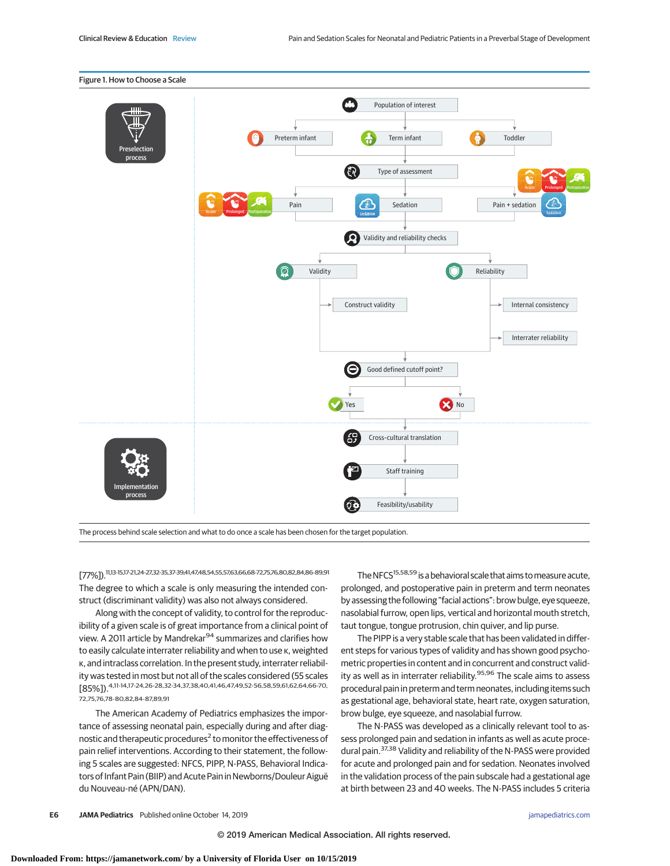

The process behind scale selection and what to do once a scale has been chosen for the target population.

[77%]).11,13-15,17-21,24-27,32-35,37-39,41,47,48,54,55,57,63,66,68-72,75,76,80,82,84,86-89,91 The degree to which a scale is only measuring the intended construct (discriminant validity) was also not always considered.

Along with the concept of validity, to control for the reproducibility of a given scale is of great importance from a clinical point of view. A 2011 article by Mandrekar<sup>94</sup> summarizes and clarifies how to easily calculate interrater reliability and when to use κ, weighted κ, and intraclass correlation. In the present study, interrater reliability was tested in most but not all of the scales considered (55 scales [85%]).4,11-14,17-24,26-28,32-34,37,38,40,41,46,47,49,52-56,58,59,61,62,64,66-70, 72,75,76,78-80,82,84-87,89,91

The American Academy of Pediatrics emphasizes the importance of assessing neonatal pain, especially during and after diagnostic and therapeutic procedures<sup>2</sup> to monitor the effectiveness of pain relief interventions. According to their statement, the following 5 scales are suggested: NFCS, PIPP, N-PASS, Behavioral Indicators of Infant Pain (BIIP) and Acute Pain in Newborns/Douleur Aiguë du Nouveau-né (APN/DAN).

The NFCS<sup>15,58,59</sup> is a behavioral scale that aims to measure acute, prolonged, and postoperative pain in preterm and term neonates by assessing the following "facial actions": brow bulge, eye squeeze, nasolabial furrow, open lips, vertical and horizontal mouth stretch, taut tongue, tongue protrusion, chin quiver, and lip purse.

The PIPP is a very stable scale that has been validated in different steps for various types of validity and has shown good psychometric properties in content and in concurrent and construct validity as well as in interrater reliability.<sup>95,96</sup> The scale aims to assess procedural pain in preterm and term neonates, including items such as gestational age, behavioral state, heart rate, oxygen saturation, brow bulge, eye squeeze, and nasolabial furrow.

The N-PASS was developed as a clinically relevant tool to assess prolonged pain and sedation in infants as well as acute procedural pain.<sup>37,38</sup> Validity and reliability of the N-PASS were provided for acute and prolonged pain and for sedation. Neonates involved in the validation process of the pain subscale had a gestational age at birth between 23 and 40 weeks. The N-PASS includes 5 criteria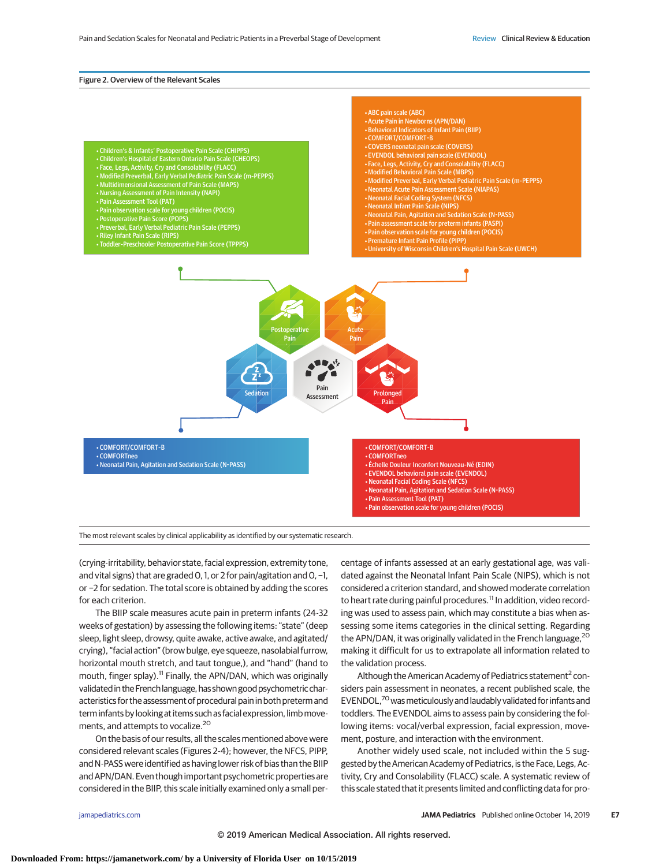#### Figure 2. Overview of the Relevant Scales

- Children's & Infants' Postoperative Pain Scale (CHIPPS)<br>• Children's Hospital of Eastern Ontario Pain Scale (CHEOPS)<br>• Face, Legs, Activity, Cry and Consolability (FLACC)<br>• Modified Preverbal, Early Verbal Pediatric Pain
- 
- 
- 
- Nursing Assessment of Pain Intensity (NAPI) Pain Assessment Tool (PAT)
- 
- Pain observation scale for young children (POCIS) Postoperative Pain Score (POPS) Preverbal, Early Verbal Pediatric Pain Scale (PEPPS)
- 
- 
- 
- Riley Infant Pain Scale (RIPS) Toddler-Preschooler Postoperative Pain Score (TPPPS)

• EVENDOL behavioral pain scale (EVENDOL) • Face, Legs, Activity, Cry and Consolability (FLACC) • Modified Behavioral Pain Scale (MBPS) • Modified Preverbal, Early Verbal Pediatric Pain Scale (m-PEPPS) • Neonatal Acute Pain Assessment Scale (NIAPAS) • Neonatal Facial Coding System (NFCS) • Neonatal Infant Pain Scale (NIPS) • Neonatal Pain, Agitation and Sedation Scale (N-PASS) • Pain assessment scale for preterm infants (PASPI) • Pain observation scale for young children (POCIS) • Premature Infant Pain Profile (PIPP) • University of Wisconsin Children's Hospital Pain Scale (UWCH)

• ABC pain scale (ABC) • Acute Pain in Newborns (APN/DAN) • Behavioral Indicators of Infant Pain (BIIP)

• COMFORT/COMFORT-B • COVERS neonatal pain scale (COVERS)

• COMFORT/COMFORT-B • COMFORTneo • Neonatal Pain, Agitation and Sedation Scale (N-PASS)

• COMFORT/COMFORT-B • COMFORTneo • Échelle Douleur Inconfort Nouveau-Né (EDIN) • EVENDOL behavioral pain scale (EVENDOL) • Neonatal Facial Coding Scale (NFCS) • Neonatal Pain, Agitation and Sedation Scale (N-PASS) • Pain Assessment Tool (PAT) • Pain observation scale for young children (POCIS)

The most relevant scales by clinical applicability as identified by our systematic research.

Postoperative Pain

> Pain Assessment

Acute Pain

> Prolonged Pain

(crying-irritability, behavior state, facial expression, extremity tone, and vital signs) that are graded 0, 1, or 2 for pain/agitation and 0, −1, or −2 for sedation. The total score is obtained by adding the scores for each criterion.

The BIIP scale measures acute pain in preterm infants (24-32 weeks of gestation) by assessing the following items: "state" (deep sleep, light sleep, drowsy, quite awake, active awake, and agitated/ crying), "facial action" (brow bulge, eye squeeze, nasolabial furrow, horizontal mouth stretch, and taut tongue,), and "hand" (hand to mouth, finger splay).<sup>11</sup> Finally, the APN/DAN, which was originally validated in the French language, has shown good psychometric characteristics for the assessment of procedural pain in both preterm and term infants by looking at items such as facial expression, limbmovements, and attempts to vocalize.<sup>20</sup>

On the basis of our results, all the scales mentioned above were considered relevant scales (Figures 2-4); however, the NFCS, PIPP, and N-PASS were identified as having lower risk of bias than the BIIP and APN/DAN. Even though important psychometric properties are considered in the BIIP, this scale initially examined only a small per-

centage of infants assessed at an early gestational age, was validated against the Neonatal Infant Pain Scale (NIPS), which is not considered a criterion standard, and showed moderate correlation to heart rate during painful procedures.<sup>11</sup> In addition, video recording was used to assess pain, which may constitute a bias when assessing some items categories in the clinical setting. Regarding the APN/DAN, it was originally validated in the French language,<sup>20</sup> making it difficult for us to extrapolate all information related to the validation process.

Although the American Academy of Pediatrics statement<sup>2</sup> considers pain assessment in neonates, a recent published scale, the EVENDOL,<sup>70</sup> was meticulously and laudably validated for infants and toddlers. The EVENDOL aims to assess pain by considering the following items: vocal/verbal expression, facial expression, movement, posture, and interaction with the environment.

Another widely used scale, not included within the 5 suggested by the American Academy of Pediatrics, is the Face, Legs, Activity, Cry and Consolability (FLACC) scale. A systematic review of this scale stated that it presents limited and conflicting data for pro-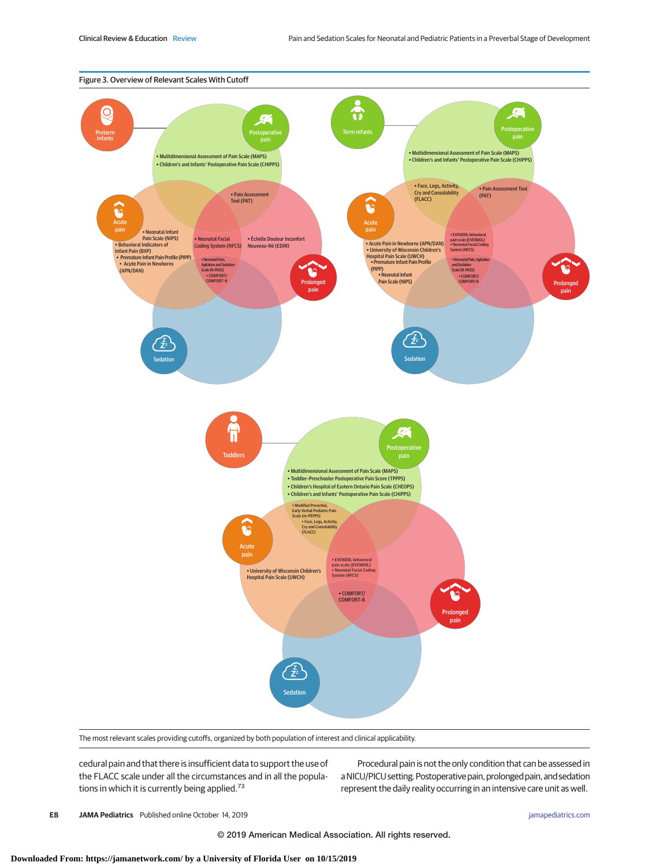

The most relevant scales providing cutoffs, organized by both population of interest and clinical applicability.

cedural pain and that there is insufficient data to support the use of the FLACC scale under all the circumstances and in all the populations in which it is currently being applied.<sup>73</sup>

Procedural pain is not the only condition that can be assessed in a NICU/PICU setting. Postoperative pain, prolonged pain, and sedation represent the daily reality occurring in an intensive care unit as well.

**E8 JAMA Pediatrics** Published online October 14, 2019 **(Reprinted)** in the printed online of the printed online of the printed online of the printed online of the printed online of the printed online of the printed online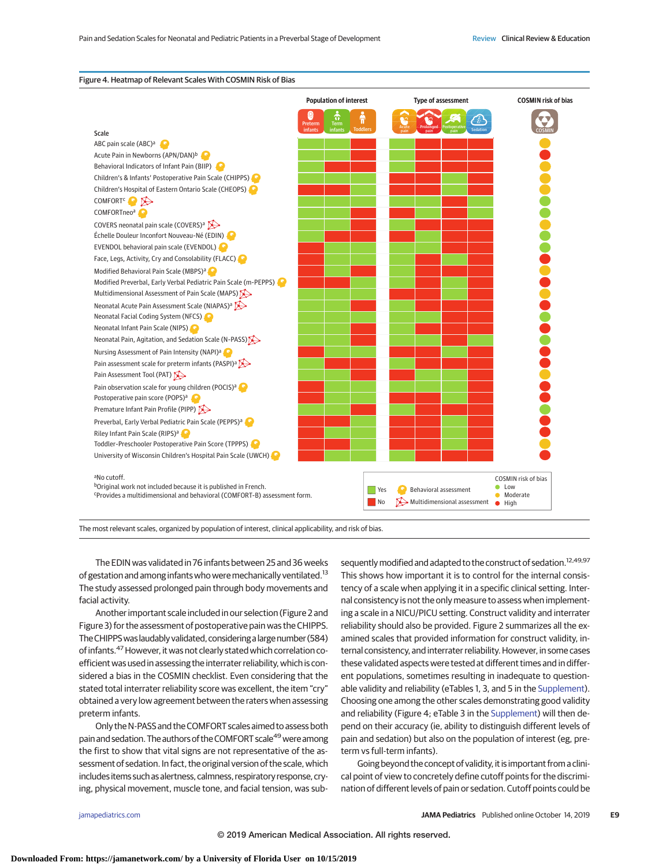|                                                                                                                                                                                   | <b>Population of interest</b>                     |                 | <b>Type of assessment</b>   |                                           | <b>COSMIN risk of bias</b>                                                           |
|-----------------------------------------------------------------------------------------------------------------------------------------------------------------------------------|---------------------------------------------------|-----------------|-----------------------------|-------------------------------------------|--------------------------------------------------------------------------------------|
|                                                                                                                                                                                   | 츣<br>Term<br>Preterm<br>infants<br><b>infants</b> | <b>Toddlers</b> |                             | <b>Sedation</b>                           |                                                                                      |
| <b>Scale</b><br>ABC pain scale (ABC) <sup>a</sup>                                                                                                                                 |                                                   |                 |                             |                                           |                                                                                      |
| Acute Pain in Newborns (APN/DAN)b                                                                                                                                                 |                                                   |                 |                             |                                           |                                                                                      |
| Behavioral Indicators of Infant Pain (BIIP)                                                                                                                                       |                                                   |                 |                             |                                           |                                                                                      |
| Children's & Infants' Postoperative Pain Scale (CHIPPS)                                                                                                                           |                                                   |                 |                             |                                           |                                                                                      |
| Children's Hospital of Eastern Ontario Scale (CHEOPS)                                                                                                                             |                                                   |                 |                             |                                           |                                                                                      |
| COMFORT <sup>C</sup>                                                                                                                                                              |                                                   |                 |                             |                                           |                                                                                      |
| COMFORTneo <sup>a</sup>                                                                                                                                                           |                                                   |                 |                             |                                           |                                                                                      |
| COVERS neonatal pain scale (COVERS) <sup>a</sup>                                                                                                                                  |                                                   |                 |                             |                                           |                                                                                      |
| Échelle Douleur Inconfort Nouveau-Né (EDIN)                                                                                                                                       |                                                   |                 |                             |                                           |                                                                                      |
| EVENDOL behavioral pain scale (EVENDOL)                                                                                                                                           |                                                   |                 |                             |                                           |                                                                                      |
| Face, Legs, Activity, Cry and Consolability (FLACC)                                                                                                                               |                                                   |                 |                             |                                           |                                                                                      |
| Modified Behavioral Pain Scale (MBPS) <sup>a</sup>                                                                                                                                |                                                   |                 |                             |                                           |                                                                                      |
| Modified Preverbal, Early Verbal Pediatric Pain Scale (m-PEPPS)                                                                                                                   |                                                   |                 |                             |                                           |                                                                                      |
| Multidimensional Assessment of Pain Scale (MAPS)                                                                                                                                  |                                                   |                 |                             |                                           |                                                                                      |
| Neonatal Acute Pain Assessment Scale (NIAPAS) <sup>a</sup>                                                                                                                        |                                                   |                 |                             |                                           |                                                                                      |
| Neonatal Facial Coding System (NFCS)                                                                                                                                              |                                                   |                 |                             |                                           |                                                                                      |
| Neonatal Infant Pain Scale (NIPS)                                                                                                                                                 |                                                   |                 |                             |                                           |                                                                                      |
| Neonatal Pain, Agitation, and Sedation Scale (N-PASS)                                                                                                                             |                                                   |                 |                             |                                           |                                                                                      |
| Nursing Assessment of Pain Intensity (NAPI) <sup>a</sup>                                                                                                                          |                                                   |                 |                             |                                           |                                                                                      |
| Pain assessment scale for preterm infants (PASPI) <sup>a</sup>                                                                                                                    |                                                   |                 |                             |                                           |                                                                                      |
| Pain Assessment Tool (PAT)                                                                                                                                                        |                                                   |                 |                             |                                           |                                                                                      |
| Pain observation scale for young children (POCIS) <sup>a</sup>                                                                                                                    |                                                   |                 |                             |                                           |                                                                                      |
| Postoperative pain score (POPS) <sup>a</sup>                                                                                                                                      |                                                   |                 |                             |                                           |                                                                                      |
| Premature Infant Pain Profile (PIPP)                                                                                                                                              |                                                   |                 |                             |                                           |                                                                                      |
| Preverbal, Early Verbal Pediatric Pain Scale (PEPPS) <sup>a</sup>                                                                                                                 |                                                   |                 |                             |                                           |                                                                                      |
| Riley Infant Pain Scale (RIPS) <sup>a</sup>                                                                                                                                       |                                                   |                 |                             |                                           |                                                                                      |
| Toddler-Preschooler Postoperative Pain Score (TPPPS)                                                                                                                              |                                                   |                 |                             |                                           |                                                                                      |
| University of Wisconsin Children's Hospital Pain Scale (UWCH)                                                                                                                     |                                                   |                 |                             |                                           |                                                                                      |
| <sup>a</sup> No cutoff.<br>bOriginal work not included because it is published in French.<br><sup>c</sup> Provides a multidimensional and behavioral (COMFORT-B) assessment form. |                                                   | Yes<br>No       | Behavioral assessment<br>ħ€ | $\rightarrow$ Multidimensional assessment | <b>COSMIN risk of bias</b><br>Low<br>۰<br>$\bullet$<br>Moderate<br>$\bullet$<br>High |

#### Figure 4. Heatmap of Relevant Scales With COSMIN Risk of Bias

The most relevant scales, organized by population of interest, clinical applicability, and risk of bias.

The EDIN was validated in 76 infants between 25 and 36 weeks of gestation and among infants who were mechanically ventilated.<sup>13</sup> The study assessed prolonged pain through body movements and facial activity.

Another important scale included in our selection (Figure 2 and Figure 3) for the assessment of postoperative pain was the CHIPPS. The CHIPPS was laudably validated, considering a large number (584) of infants.<sup>47</sup> However, it was not clearly stated which correlation coefficient was used in assessing the interrater reliability, which is considered a bias in the COSMIN checklist. Even considering that the stated total interrater reliability score was excellent, the item "cry" obtained a very low agreement between the raters when assessing preterm infants.

Only theN-PASS and the COMFORT scales aimed to assess both pain and sedation. The authors of the COMFORT scale<sup>49</sup> were among the first to show that vital signs are not representative of the assessment of sedation. In fact, the original version of the scale, which includes items such as alertness, calmness, respiratory response, crying, physical movement, muscle tone, and facial tension, was subsequently modified and adapted to the construct of sedation.<sup>12,49,97</sup> This shows how important it is to control for the internal consistency of a scale when applying it in a specific clinical setting. Internal consistency is not the only measure to assess when implementing a scale in a NICU/PICU setting. Construct validity and interrater reliability should also be provided. Figure 2 summarizes all the examined scales that provided information for construct validity, internal consistency, and interrater reliability. However, in some cases these validated aspects were tested at different times and in different populations, sometimes resulting in inadequate to questionable validity and reliability (eTables 1, 3, and 5 in the [Supplement\)](https://jamanetwork.com/journals/jama/fullarticle/10.1001/jamapediatrics.2019.3351?utm_campaign=articlePDF%26utm_medium=articlePDFlink%26utm_source=articlePDF%26utm_content=jamapediatrics.2019.3351). Choosing one among the other scales demonstrating good validity and reliability (Figure 4; eTable 3 in the [Supplement\)](https://jamanetwork.com/journals/jama/fullarticle/10.1001/jamapediatrics.2019.3351?utm_campaign=articlePDF%26utm_medium=articlePDFlink%26utm_source=articlePDF%26utm_content=jamapediatrics.2019.3351) will then depend on their accuracy (ie, ability to distinguish different levels of pain and sedation) but also on the population of interest (eg, preterm vs full-term infants).

Going beyond the concept of validity, it is important from a clinical point of view to concretely define cutoff points for the discrimination of different levels of pain or sedation. Cutoff points could be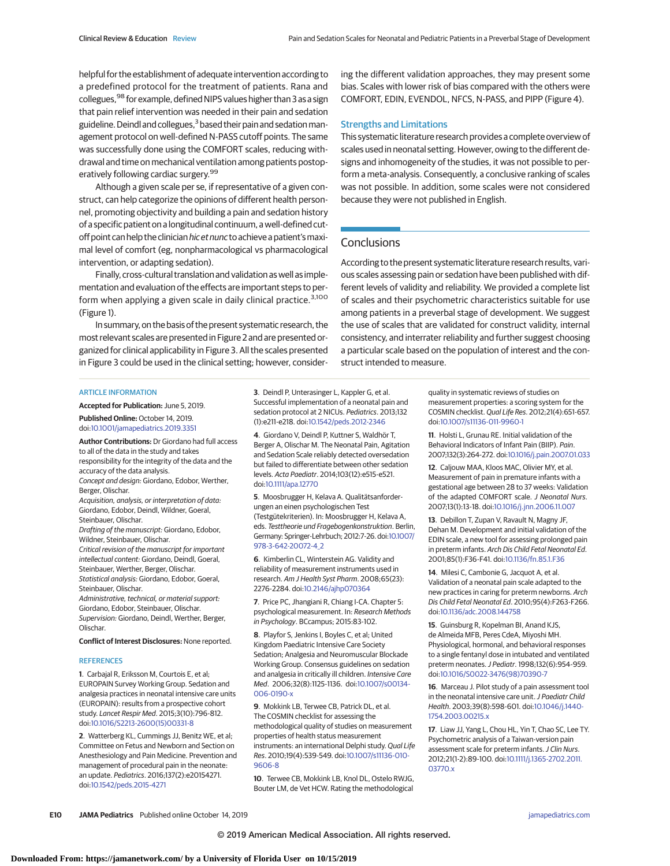helpful for the establishment of adequate intervention according to a predefined protocol for the treatment of patients. Rana and collegues, <sup>98</sup> for example, defined NIPS values higher than 3 as a sign that pain relief intervention was needed in their pain and sedation guideline. Deindl and collegues,<sup>3</sup> based their pain and sedation management protocol on well-defined N-PASS cutoff points. The same was successfully done using the COMFORT scales, reducing withdrawal and time on mechanical ventilation among patients postoperatively following cardiac surgery.<sup>99</sup>

Although a given scale per se, if representative of a given construct, can help categorize the opinions of different health personnel, promoting objectivity and building a pain and sedation history of a specific patient on a longitudinal continuum, a well-defined cutoff point can help the clinician hic et nunc to achieve a patient's maximal level of comfort (eg, nonpharmacological vs pharmacological intervention, or adapting sedation).

Finally, cross-cultural translation and validation as well as implementation and evaluation of the effects are important steps to perform when applying a given scale in daily clinical practice.<sup>3,100</sup> (Figure 1).

In summary, on the basis of the present systematic research, the most relevant scales are presented in Figure 2 and are presented organized for clinical applicability in Figure 3. All the scales presented in Figure 3 could be used in the clinical setting; however, consider-

#### ARTICLE INFORMATION

**Accepted for Publication:** June 5, 2019.

**Published Online:** October 14, 2019. doi[:10.1001/jamapediatrics.2019.3351](https://jamanetwork.com/journals/jama/fullarticle/10.1001/jamapediatrics.2019.3351?utm_campaign=articlePDF%26utm_medium=articlePDFlink%26utm_source=articlePDF%26utm_content=jamapediatrics.2019.3351)

**Author Contributions:** Dr Giordano had full access to all of the data in the study and takes responsibility for the integrity of the data and the accuracy of the data analysis. Concept and design: Giordano, Edobor, Werther, Berger, Olischar.

Acquisition, analysis, or interpretation of data: Giordano, Edobor, Deindl, Wildner, Goeral, Steinbauer, Olischar.

Drafting of the manuscript: Giordano, Edobor, Wildner, Steinbauer, Olischar.

Critical revision of the manuscript for important intellectual content: Giordano, Deindl, Goeral, Steinbauer, Werther, Berger, Olischar. Statistical analysis: Giordano, Edobor, Goeral,

Steinbauer, Olischar. Administrative, technical, or material support:

Giordano, Edobor, Steinbauer, Olischar. Supervision: Giordano, Deindl, Werther, Berger, Olischar.

**Conflict of Interest Disclosures:** None reported.

#### **REFERENCES**

**1**. Carbajal R, Eriksson M, Courtois E, et al; EUROPAIN Survey Working Group. Sedation and analgesia practices in neonatal intensive care units (EUROPAIN): results from a prospective cohort study. Lancet Respir Med. 2015;3(10):796-812. doi[:10.1016/S2213-2600\(15\)00331-8](https://dx.doi.org/10.1016/S2213-2600(15)00331-8)

**2**. Watterberg KL, Cummings JJ, Benitz WE, et al; Committee on Fetus and Newborn and Section on Anesthesiology and Pain Medicine. Prevention and management of procedural pain in the neonate: an update. Pediatrics. 2016;137(2):e20154271. doi[:10.1542/peds.2015-4271](https://dx.doi.org/10.1542/peds.2015-4271)

**3**. Deindl P, Unterasinger L, Kappler G, et al. Successful implementation of a neonatal pain and sedation protocol at 2 NICUs. Pediatrics. 2013;132 (1):e211-e218. doi[:10.1542/peds.2012-2346](https://dx.doi.org/10.1542/peds.2012-2346)

**4**. Giordano V, Deindl P, Kuttner S, Waldhör T, Berger A, Olischar M. The Neonatal Pain, Agitation and Sedation Scale reliably detected oversedation but failed to differentiate between other sedation levels. Acta Paediatr. 2014;103(12):e515-e521. doi[:10.1111/apa.12770](https://dx.doi.org/10.1111/apa.12770)

**5**. Moosbrugger H, Kelava A. Qualitätsanforderungen an einen psychologischen Test (Testgütekriterien). In: Moosbrugger H, Kelava A, eds. Testtheorie und Fragebogenkonstruktion. Berlin, Germany: Springer-Lehrbuch; 2012:7-26. doi[:10.1007/](https://dx.doi.org/10.1007/978-3-642-20072-4_2) [978-3-642-20072-4\\_2](https://dx.doi.org/10.1007/978-3-642-20072-4_2)

**6**. Kimberlin CL, Winterstein AG. Validity and reliability of measurement instruments used in research. Am J Health Syst Pharm. 2008;65(23): 2276-2284. doi[:10.2146/ajhp070364](https://dx.doi.org/10.2146/ajhp070364)

**7**. Price PC, Jhangiani R, Chiang I-CA. Chapter 5: psychological measurement. In: Research Methods in Psychology. BCcampus; 2015:83-102.

**8**. Playfor S, Jenkins I, Boyles C, et al; United Kingdom Paediatric Intensive Care Society Sedation; Analgesia and Neuromuscular Blockade Working Group. Consensus guidelines on sedation and analgesia in critically ill children. Intensive Care Med. 2006;32(8):1125-1136. doi[:10.1007/s00134-](https://dx.doi.org/10.1007/s00134-006-0190-x) [006-0190-x](https://dx.doi.org/10.1007/s00134-006-0190-x)

**9**. Mokkink LB, Terwee CB, Patrick DL, et al. The COSMIN checklist for assessing the methodological quality of studies on measurement properties of health status measurement instruments: an international Delphi study. Qual Life Res. 2010;19(4):539-549. doi[:10.1007/s11136-010-](https://dx.doi.org/10.1007/s11136-010-9606-8) [9606-8](https://dx.doi.org/10.1007/s11136-010-9606-8)

**10**. Terwee CB, Mokkink LB, Knol DL, Ostelo RWJG, Bouter LM, de Vet HCW. Rating the methodological

ing the different validation approaches, they may present some bias. Scales with lower risk of bias compared with the others were COMFORT, EDIN, EVENDOL, NFCS, N-PASS, and PIPP (Figure 4).

## Strengths and Limitations

This systematic literature research provides a complete overview of scales used in neonatal setting. However, owing to the different designs and inhomogeneity of the studies, it was not possible to perform a meta-analysis. Consequently, a conclusive ranking of scales was not possible. In addition, some scales were not considered because they were not published in English.

## **Conclusions**

According to the present systematic literature research results, various scales assessing pain or sedation have been published with different levels of validity and reliability. We provided a complete list of scales and their psychometric characteristics suitable for use among patients in a preverbal stage of development. We suggest the use of scales that are validated for construct validity, internal consistency, and interrater reliability and further suggest choosing a particular scale based on the population of interest and the construct intended to measure.

> quality in systematic reviews of studies on measurement properties: a scoring system for the COSMIN checklist. Qual Life Res. 2012;21(4):651-657. doi[:10.1007/s11136-011-9960-1](https://dx.doi.org/10.1007/s11136-011-9960-1)

> **11**. Holsti L, Grunau RE. Initial validation of the Behavioral Indicators of Infant Pain (BIIP). Pain. 2007;132(3):264-272. doi[:10.1016/j.pain.2007.01.033](https://dx.doi.org/10.1016/j.pain.2007.01.033)

> **12**. Caljouw MAA, Kloos MAC, Olivier MY, et al. Measurement of pain in premature infants with a gestational age between 28 to 37 weeks: Validation of the adapted COMFORT scale. J Neonatal Nurs. 2007;13(1):13-18. doi[:10.1016/j.jnn.2006.11.007](https://dx.doi.org/10.1016/j.jnn.2006.11.007)

> **13**. Debillon T, Zupan V, Ravault N, Magny JF, Dehan M. Development and initial validation of the EDIN scale, a new tool for assessing prolonged pain in preterm infants. Arch Dis Child Fetal Neonatal Ed. 2001;85(1):F36-F41. doi[:10.1136/fn.85.1.F36](https://dx.doi.org/10.1136/fn.85.1.F36)

> **14**. Milesi C, Cambonie G, Jacquot A, et al. Validation of a neonatal pain scale adapted to the new practices in caring for preterm newborns. Arch Dis Child Fetal Neonatal Ed. 2010;95(4):F263-F266. doi[:10.1136/adc.2008.144758](https://dx.doi.org/10.1136/adc.2008.144758)

**15**. Guinsburg R, Kopelman BI, Anand KJS, de Almeida MFB, Peres CdeA, Miyoshi MH. Physiological, hormonal, and behavioral responses to a single fentanyl dose in intubated and ventilated preterm neonates.J Pediatr. 1998;132(6):954-959. doi[:10.1016/S0022-3476\(98\)70390-7](https://dx.doi.org/10.1016/S0022-3476(98)70390-7)

**16**. Marceau J. Pilot study of a pain assessment tool in the neonatal intensive care unit. *I Paediatr Child* Health. 2003;39(8):598-601. doi[:10.1046/j.1440-](https://dx.doi.org/10.1046/j.1440-1754.2003.00215.x) [1754.2003.00215.x](https://dx.doi.org/10.1046/j.1440-1754.2003.00215.x)

**17**. Liaw JJ, Yang L, Chou HL, Yin T, Chao SC, Lee TY. Psychometric analysis of a Taiwan-version pain assessment scale for preterm infants. J Clin Nurs. 2012;21(1-2):89-100. doi[:10.1111/j.1365-2702.2011.](https://dx.doi.org/10.1111/j.1365-2702.2011.03770.x) [03770.x](https://dx.doi.org/10.1111/j.1365-2702.2011.03770.x)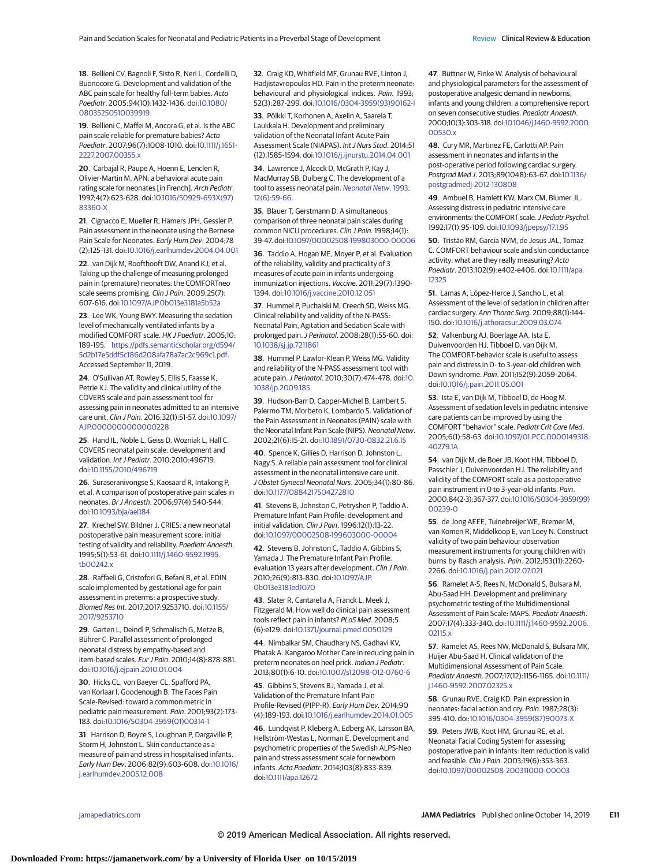**18**. Bellieni CV, Bagnoli F, Sisto R, Neri L, Cordelli D, Buonocore G. Development and validation of the ABC pain scale for healthy full-term babies. Acta Paediatr. 2005;94(10):1432-1436. doi[:10.1080/](https://dx.doi.org/10.1080/08035250510039919) [08035250510039919](https://dx.doi.org/10.1080/08035250510039919)

**19**. Bellieni C, Maffei M, Ancora G, et al. Is the ABC pain scale reliable for premature babies? Acta Paediatr. 2007;96(7):1008-1010. doi[:10.1111/j.1651-](https://dx.doi.org/10.1111/j.1651-2227.2007.00355.x) [2227.2007.00355.x](https://dx.doi.org/10.1111/j.1651-2227.2007.00355.x)

**20**. Carbajal R, Paupe A, Hoenn E, Lenclen R, Olivier-Martin M. APN: a behavioral acute pain rating scale for neonates [in French]. Arch Pediatr. 1997;4(7):623-628. doi[:10.1016/S0929-693X\(97\)](https://dx.doi.org/10.1016/S0929-693X(97)83360-X) [83360-X](https://dx.doi.org/10.1016/S0929-693X(97)83360-X)

**21**. Cignacco E, Mueller R, Hamers JPH, Gessler P. Pain assessment in the neonate using the Bernese Pain Scale for Neonates. Early Hum Dev. 2004;78 (2):125-131. doi[:10.1016/j.earlhumdev.2004.04.001](https://dx.doi.org/10.1016/j.earlhumdev.2004.04.001)

**22**. van Dijk M, Roofthooft DW, Anand KJ, et al. Taking up the challenge of measuring prolonged pain in (premature) neonates: the COMFORTneo scale seems promising. Clin J Pain. 2009;25(7): 607-616. doi[:10.1097/AJP.0b013e3181a5b52a](https://dx.doi.org/10.1097/AJP.0b013e3181a5b52a)

**23**. Lee WK, Young BWY. Measuring the sedation level of mechanically ventilated infants by a modified COMFORT scale. HK J Paediatr. 2005;10: 189-195. [https://pdfs.semanticscholar.org/d594/](https://pdfs.semanticscholar.org/d594/5d2b17e5ddf5c186d208afa78a7ac2c969c1.pdf) [5d2b17e5ddf5c186d208afa78a7ac2c969c1.pdf.](https://pdfs.semanticscholar.org/d594/5d2b17e5ddf5c186d208afa78a7ac2c969c1.pdf) Accessed September 11, 2019.

**24**. O'Sullivan AT, Rowley S, Ellis S, Faasse K, Petrie KJ. The validity and clinical utility of the COVERS scale and pain assessment tool for assessing pain in neonates admitted to an intensive care unit. Clin J Pain. 2016;32(1):51-57. doi[:10.1097/](https://dx.doi.org/10.1097/AJP.0000000000000228) [AJP.0000000000000228](https://dx.doi.org/10.1097/AJP.0000000000000228)

**25**. Hand IL, Noble L, Geiss D, Wozniak L, Hall C. COVERS neonatal pain scale: development and validation. Int J Pediatr. 2010;2010:496719. doi[:10.1155/2010/496719](https://dx.doi.org/10.1155/2010/496719)

**26**. Suraseranivongse S, Kaosaard R, Intakong P, et al. A comparison of postoperative pain scales in neonates. Br J Anaesth. 2006;97(4):540-544. doi[:10.1093/bja/ael184](https://dx.doi.org/10.1093/bja/ael184)

**27**. Krechel SW, Bildner J. CRIES: a new neonatal postoperative pain measurement score: initial testing of validity and reliability. Paediatr Anaesth. 1995;5(1):53-61. doi[:10.1111/j.1460-9592.1995.](https://dx.doi.org/10.1111/j.1460-9592.1995.tb00242.x) [tb00242.x](https://dx.doi.org/10.1111/j.1460-9592.1995.tb00242.x)

**28**. Raffaeli G, Cristofori G, Befani B, et al. EDIN scale implemented by gestational age for pain assessment in preterms: a prospective study. Biomed Res Int. 2017;2017:9253710. doi[:10.1155/](https://dx.doi.org/10.1155/2017/9253710) [2017/9253710](https://dx.doi.org/10.1155/2017/9253710)

**29**. Garten L, Deindl P, Schmalisch G, Metze B, Bührer C. Parallel assessment of prolonged neonatal distress by empathy-based and item-based scales. Eur J Pain. 2010;14(8):878-881. doi[:10.1016/j.ejpain.2010.01.004](https://dx.doi.org/10.1016/j.ejpain.2010.01.004)

**30**. Hicks CL, von Baeyer CL, Spafford PA, van Korlaar I, Goodenough B. The Faces Pain Scale-Revised: toward a common metric in pediatric pain measurement. Pain. 2001;93(2):173- 183. doi[:10.1016/S0304-3959\(01\)00314-1](https://dx.doi.org/10.1016/S0304-3959(01)00314-1)

**31**. Harrison D, Boyce S, Loughnan P, Dargaville P, Storm H, Johnston L. Skin conductance as a measure of pain and stress in hospitalised infants. Early Hum Dev. 2006;82(9):603-608. doi[:10.1016/](https://dx.doi.org/10.1016/j.earlhumdev.2005.12.008) [j.earlhumdev.2005.12.008](https://dx.doi.org/10.1016/j.earlhumdev.2005.12.008)

**32**. Craig KD, Whitfield MF, Grunau RVE, Linton J, Hadjistavropoulos HD. Pain in the preterm neonate: behavioural and physiological indices. Pain. 1993; 52(3):287-299. doi[:10.1016/0304-3959\(93\)90162-I](https://dx.doi.org/10.1016/0304-3959(93)90162-I)

**33**. Pölkki T, Korhonen A, Axelin A, Saarela T, Laukkala H. Development and preliminary validation of the Neonatal Infant Acute Pain Assessment Scale (NIAPAS). Int J Nurs Stud. 2014;51 (12):1585-1594. doi[:10.1016/j.ijnurstu.2014.04.001](https://dx.doi.org/10.1016/j.ijnurstu.2014.04.001)

**34**. Lawrence J, Alcock D, McGrath P, Kay J, MacMurray SB, Dulberg C. The development of a tool to assess neonatal pain. [Neonatal Netw](https://www.ncbi.nlm.nih.gov/pubmed/8413140). 1993; [12\(6\):59-66.](https://www.ncbi.nlm.nih.gov/pubmed/8413140)

**35**. Blauer T, Gerstmann D. A simultaneous comparison of three neonatal pain scales during common NICU procedures. Clin J Pain. 1998;14(1): 39-47. doi[:10.1097/00002508-199803000-00006](https://dx.doi.org/10.1097/00002508-199803000-00006)

**36**. Taddio A, Hogan ME, Moyer P, et al. Evaluation of the reliability, validity and practicality of 3 measures of acute pain in infants undergoing immunization injections. Vaccine. 2011;29(7):1390- 1394. doi[:10.1016/j.vaccine.2010.12.051](https://dx.doi.org/10.1016/j.vaccine.2010.12.051)

**37**. Hummel P, Puchalski M, Creech SD, Weiss MG. Clinical reliability and validity of the N-PASS: Neonatal Pain, Agitation and Sedation Scale with prolonged pain.J Perinatol. 2008;28(1):55-60. doi: [10.1038/sj.jp.7211861](https://dx.doi.org/10.1038/sj.jp.7211861)

**38**. Hummel P, Lawlor-Klean P, Weiss MG. Validity and reliability of the N-PASS assessment tool with acute pain.J Perinatol. 2010;30(7):474-478. doi[:10.](https://dx.doi.org/10.1038/jp.2009.185) [1038/jp.2009.185](https://dx.doi.org/10.1038/jp.2009.185)

**39**. Hudson-Barr D, Capper-Michel B, Lambert S, Palermo TM, Morbeto K, Lombardo S. Validation of the Pain Assessment in Neonates (PAIN) scale with the Neonatal Infant Pain Scale (NIPS). Neonatal Netw. 2002;21(6):15-21. doi[:10.1891/0730-0832.21.6.15](https://dx.doi.org/10.1891/0730-0832.21.6.15)

**40**. Spence K, Gillies D, Harrison D, Johnston L, Nagy S. A reliable pain assessment tool for clinical assessment in the neonatal intensive care unit. J Obstet Gynecol Neonatal Nurs. 2005;34(1):80-86. doi[:10.1177/0884217504272810](https://dx.doi.org/10.1177/0884217504272810)

**41**. Stevens B, Johnston C, Petryshen P, Taddio A. Premature Infant Pain Profile: development and initial validation. Clin J Pain. 1996;12(1):13-22. doi[:10.1097/00002508-199603000-00004](https://dx.doi.org/10.1097/00002508-199603000-00004)

**42**. Stevens B, Johnston C, Taddio A, Gibbins S, Yamada J. The Premature Infant Pain Profile: evaluation 13 years after development. Clin J Pain. 2010;26(9):813-830. doi[:10.1097/AJP.](https://dx.doi.org/10.1097/AJP.0b013e3181ed1070) [0b013e3181ed1070](https://dx.doi.org/10.1097/AJP.0b013e3181ed1070)

**43**. Slater R, Cantarella A, Franck L, Meek J, Fitzgerald M. How well do clinical pain assessment tools reflect pain in infants? PLoS Med. 2008;5 (6):e129. doi[:10.1371/journal.pmed.0050129](https://dx.doi.org/10.1371/journal.pmed.0050129)

**44**. Nimbalkar SM, Chaudhary NS, Gadhavi KV, Phatak A. Kangaroo Mother Care in reducing pain in preterm neonates on heel prick. Indian J Pediatr. 2013;80(1):6-10. doi[:10.1007/s12098-012-0760-6](https://dx.doi.org/10.1007/s12098-012-0760-6)

**45**. Gibbins S, Stevens BJ, Yamada J, et al. Validation of the Premature Infant Pain Profile-Revised (PIPP-R). Early Hum Dev. 2014;90 (4):189-193. doi[:10.1016/j.earlhumdev.2014.01.005](https://dx.doi.org/10.1016/j.earlhumdev.2014.01.005)

**46**. Lundqvist P, Kleberg A, Edberg AK, Larsson BA, Hellström-Westas L, Norman E. Development and psychometric properties of the Swedish ALPS-Neo pain and stress assessment scale for newborn infants. Acta Paediatr. 2014;103(8):833-839. doi[:10.1111/apa.12672](https://dx.doi.org/10.1111/apa.12672)

**47**. Büttner W, Finke W. Analysis of behavioural and physiological parameters for the assessment of postoperative analgesic demand in newborns, infants and young children: a comprehensive report on seven consecutive studies. Paediatr Anaesth. 2000;10(3):303-318. doi[:10.1046/j.1460-9592.2000.](https://dx.doi.org/10.1046/j.1460-9592.2000.00530.x) [00530.x](https://dx.doi.org/10.1046/j.1460-9592.2000.00530.x)

**48**. Cury MR, Martinez FE, Carlotti AP. Pain assessment in neonates and infants in the post-operative period following cardiac surgery. Postgrad Med J. 2013;89(1048):63-67. doi[:10.1136/](https://dx.doi.org/10.1136/postgradmedj-2012-130808) [postgradmedj-2012-130808](https://dx.doi.org/10.1136/postgradmedj-2012-130808)

**49**. Ambuel B, Hamlett KW, Marx CM, Blumer JL. Assessing distress in pediatric intensive care environments: the COMFORT scale. J Pediatr Psychol. 1992;17(1):95-109. doi[:10.1093/jpepsy/17.1.95](https://dx.doi.org/10.1093/jpepsy/17.1.95)

**50**. Tristão RM, Garcia NVM, de Jesus JAL, Tomaz C. COMFORT behaviour scale and skin conductance activity: what are they really measuring? Acta Paediatr. 2013;102(9):e402-e406. doi[:10.1111/apa.](https://dx.doi.org/10.1111/apa.12325) [12325](https://dx.doi.org/10.1111/apa.12325)

**51**. Lamas A, López-Herce J, Sancho L, et al. Assessment of the level of sedation in children after cardiac surgery. Ann Thorac Surg. 2009;88(1):144- 150. doi[:10.1016/j.athoracsur.2009.03.074](https://dx.doi.org/10.1016/j.athoracsur.2009.03.074)

**52**. Valkenburg AJ, Boerlage AA, Ista E, Duivenvoorden HJ, Tibboel D, van Dijk M. The COMFORT-behavior scale is useful to assess pain and distress in 0- to 3-year-old children with Down syndrome. Pain. 2011;152(9):2059-2064. doi[:10.1016/j.pain.2011.05.001](https://dx.doi.org/10.1016/j.pain.2011.05.001)

**53**. Ista E, van Dijk M, Tibboel D, de Hoog M. Assessment of sedation levels in pediatric intensive care patients can be improved by using the COMFORT "behavior" scale. Pediatr Crit Care Med. 2005;6(1):58-63. doi[:10.1097/01.PCC.0000149318.](https://dx.doi.org/10.1097/01.PCC.0000149318.40279.1A) [40279.1A](https://dx.doi.org/10.1097/01.PCC.0000149318.40279.1A)

**54**. van Dijk M, de Boer JB, Koot HM, Tibboel D, Passchier J, Duivenvoorden HJ. The reliability and validity of the COMFORT scale as a postoperative pain instrument in 0 to 3-year-old infants. Pain. 2000;84(2-3):367-377. doi[:10.1016/S0304-3959\(99\)](https://dx.doi.org/10.1016/S0304-3959(99)00239-0) [00239-0](https://dx.doi.org/10.1016/S0304-3959(99)00239-0)

**55**. de Jong AEEE, Tuinebreijer WE, Bremer M, van Komen R, Middelkoop E, van Loey N. Construct validity of two pain behaviour observation measurement instruments for young children with burns by Rasch analysis. Pain. 2012;153(11):2260- 2266. doi[:10.1016/j.pain.2012.07.021](https://dx.doi.org/10.1016/j.pain.2012.07.021)

**56**. Ramelet A-S, Rees N, McDonald S, Bulsara M, Abu-Saad HH. Development and preliminary psychometric testing of the Multidimensional Assessment of Pain Scale: MAPS. Paediatr Anaesth. 2007;17(4):333-340. doi[:10.1111/j.1460-9592.2006.](https://dx.doi.org/10.1111/j.1460-9592.2006.02115.x) [02115.x](https://dx.doi.org/10.1111/j.1460-9592.2006.02115.x)

**57**. Ramelet AS, Rees NW, McDonald S, Bulsara MK, Huijer Abu-Saad H. Clinical validation of the Multidimensional Assessment of Pain Scale. Paediatr Anaesth. 2007;17(12):1156-1165. doi[:10.1111/](https://dx.doi.org/10.1111/j.1460-9592.2007.02325.x) [j.1460-9592.2007.02325.x](https://dx.doi.org/10.1111/j.1460-9592.2007.02325.x)

**58**. Grunau RVE, Craig KD. Pain expression in neonates: facial action and cry. Pain. 1987;28(3): 395-410. doi[:10.1016/0304-3959\(87\)90073-X](https://dx.doi.org/10.1016/0304-3959(87)90073-X)

**59**. Peters JWB, Koot HM, Grunau RE, et al. Neonatal Facial Coding System for assessing postoperative pain in infants: item reduction is valid and feasible. Clin J Pain. 2003;19(6):353-363. doi[:10.1097/00002508-200311000-00003](https://dx.doi.org/10.1097/00002508-200311000-00003)